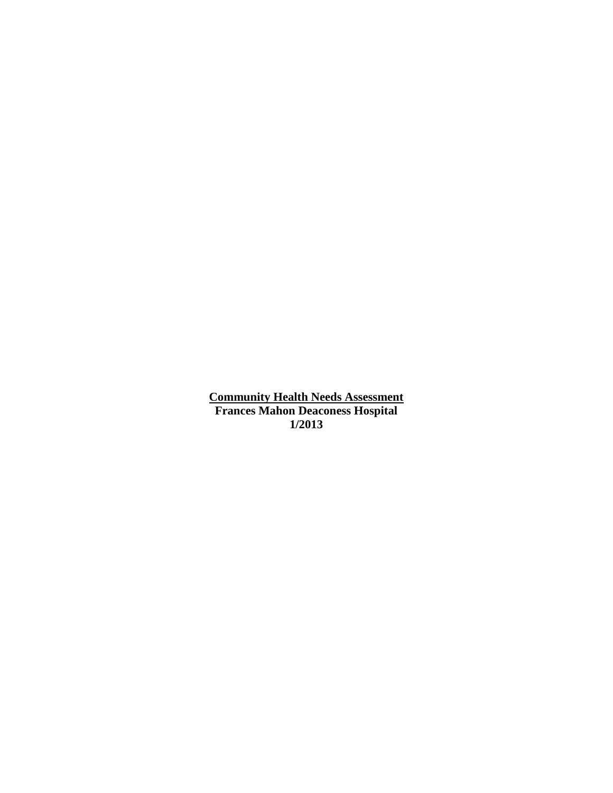**Community Health Needs Assessment Frances Mahon Deaconess Hospital 1/2013**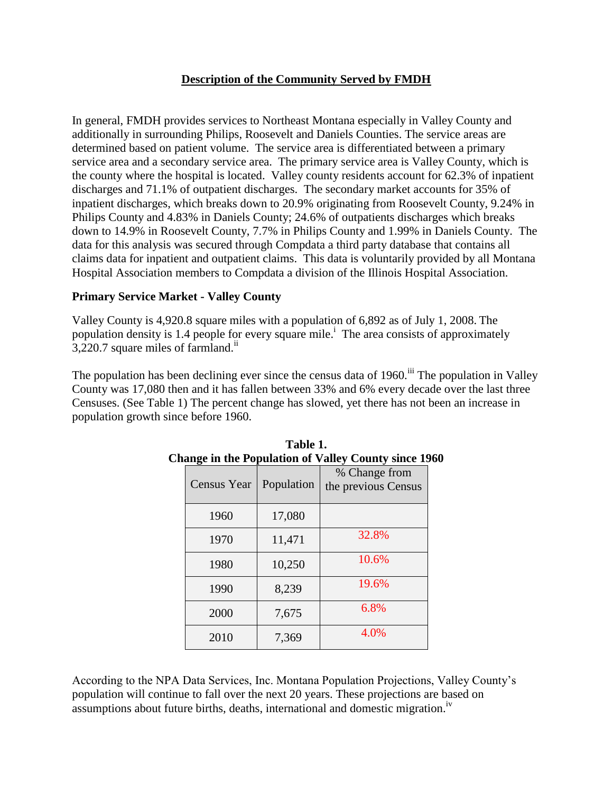### **Description of the Community Served by FMDH**

In general, FMDH provides services to Northeast Montana especially in Valley County and additionally in surrounding Philips, Roosevelt and Daniels Counties. The service areas are determined based on patient volume. The service area is differentiated between a primary service area and a secondary service area. The primary service area is Valley County, which is the county where the hospital is located. Valley county residents account for 62.3% of inpatient discharges and 71.1% of outpatient discharges. The secondary market accounts for 35% of inpatient discharges, which breaks down to 20.9% originating from Roosevelt County, 9.24% in Philips County and 4.83% in Daniels County; 24.6% of outpatients discharges which breaks down to 14.9% in Roosevelt County, 7.7% in Philips County and 1.99% in Daniels County. The data for this analysis was secured through Compdata a third party database that contains all claims data for inpatient and outpatient claims. This data is voluntarily provided by all Montana Hospital Association members to Compdata a division of the Illinois Hospital Association.

#### **Primary Service Market - Valley County**

Valley County is 4,920.8 square miles with a population of 6,892 as of July 1, 2008. The population density is 1.4 people for every square mile.<sup>i</sup> The area consists of approximately 3,220.7 square miles of farmland.<sup>ii</sup>

The population has been declining ever since the census data of  $1960$ .<sup>iii</sup> The population in Valley County was 17,080 then and it has fallen between 33% and 6% every decade over the last three Censuses. (See Table 1) The percent change has slowed, yet there has not been an increase in population growth since before 1960.

| ange in the I optimum of vancy county since 1. |            |                                      |  |  |  |
|------------------------------------------------|------------|--------------------------------------|--|--|--|
| <b>Census Year</b>                             | Population | % Change from<br>the previous Census |  |  |  |
| 1960                                           | 17,080     |                                      |  |  |  |
| 1970                                           | 11,471     | 32.8%                                |  |  |  |
| 1980                                           | 10,250     | 10.6%                                |  |  |  |
| 1990                                           | 8,239      | 19.6%                                |  |  |  |
| 2000                                           | 7,675      | 6.8%                                 |  |  |  |
| 2010                                           | 7,369      | 4.0%                                 |  |  |  |

| Table 1.                                                    |  |  |  |  |  |
|-------------------------------------------------------------|--|--|--|--|--|
| <b>Change in the Population of Valley County since 1960</b> |  |  |  |  |  |

According to the NPA Data Services, Inc. Montana Population Projections, Valley County's population will continue to fall over the next 20 years. These projections are based on assumptions about future births, deaths, international and domestic migration.<sup>iv</sup>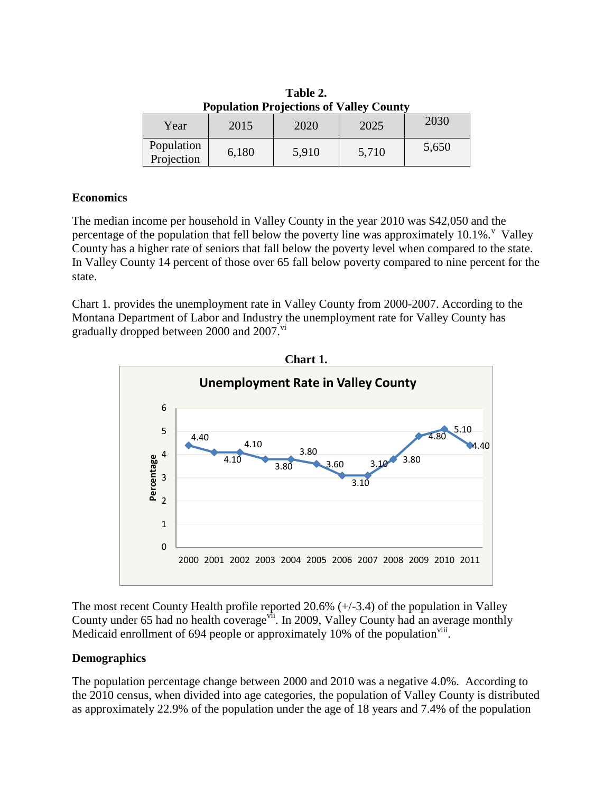| <b>Population Projections of Valley County</b> |       |       |       |       |  |  |
|------------------------------------------------|-------|-------|-------|-------|--|--|
| Year                                           | 2015  | 2020  | 2025  | 2030  |  |  |
| Population<br>Projection                       | 6,180 | 5,910 | 5,710 | 5,650 |  |  |

**Table 2. Population Projections of Valley County**

#### **Economics**

The median income per household in Valley County in the year 2010 was \$42,050 and the percentage of the population that fell below the poverty line was approximately  $10.1\%$ . Valley County has a higher rate of seniors that fall below the poverty level when compared to the state. In Valley County 14 percent of those over 65 fall below poverty compared to nine percent for the state.

Chart 1. provides the unemployment rate in Valley County from 2000-2007. According to the Montana Department of Labor and Industry the unemployment rate for Valley County has gradually dropped between 2000 and 2007.<sup>vi</sup>



The most recent County Health profile reported 20.6% (+/-3.4) of the population in Valley County under 65 had no health coverage<sup>vii</sup>. In 2009, Valley County had an average monthly Medicaid enrollment of 694 people or approximately 10% of the population<sup>viii</sup>.

### **Demographics**

The population percentage change between 2000 and 2010 was a negative 4.0%. According to the 2010 census, when divided into age categories, the population of Valley County is distributed as approximately 22.9% of the population under the age of 18 years and 7.4% of the population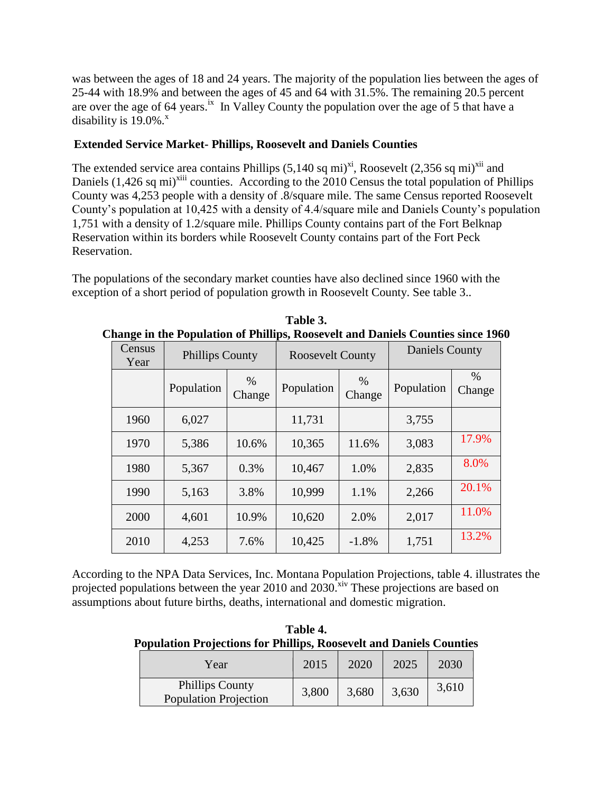was between the ages of 18 and 24 years. The majority of the population lies between the ages of 25-44 with 18.9% and between the ages of 45 and 64 with 31.5%. The remaining 20.5 percent are over the age of 64 years.<sup>ix</sup> In Valley County the population over the age of 5 that have a disability is  $19.0\%$ .

## **Extended Service Market- Phillips, Roosevelt and Daniels Counties**

The extended service area contains Phillips  $(5,140 \text{ sq mi})^{\text{xi}}$ , Roosevelt  $(2,356 \text{ sq mi})^{\text{chi}}$  and Daniels (1,426 sq mi)<sup>xiii</sup> counties. According to the 2010 Census the total population of Phillips County was 4,253 people with a density of .8/square mile. The same Census reported Roosevelt County's population at 10,425 with a density of 4.4/square mile and Daniels County's population 1,751 with a density of 1.2/square mile. Phillips County contains part of the Fort Belknap Reservation within its borders while Roosevelt County contains part of the Fort Peck Reservation.

The populations of the secondary market counties have also declined since 1960 with the exception of a short period of population growth in Roosevelt County. See table 3..

| Census<br>Year | <b>Phillips County</b> |             | <b>Roosevelt County</b> |                | <b>Daniels County</b> |             |
|----------------|------------------------|-------------|-------------------------|----------------|-----------------------|-------------|
|                | Population             | %<br>Change | Population              | $\%$<br>Change | Population            | %<br>Change |
| 1960           | 6,027                  |             | 11,731                  |                | 3,755                 |             |
| 1970           | 5,386                  | 10.6%       | 10,365                  | 11.6%          | 3,083                 | 17.9%       |
| 1980           | 5,367                  | 0.3%        | 10,467                  | 1.0%           | 2,835                 | 8.0%        |
| 1990           | 5,163                  | 3.8%        | 10,999                  | 1.1%           | 2,266                 | 20.1%       |
| 2000           | 4,601                  | 10.9%       | 10,620                  | 2.0%           | 2,017                 | 11.0%       |
| 2010           | 4,253                  | 7.6%        | 10,425                  | $-1.8%$        | 1,751                 | 13.2%       |

**Table 3. Change in the Population of Phillips, Roosevelt and Daniels Counties since 1960**

According to the NPA Data Services, Inc. Montana Population Projections, table 4. illustrates the projected populations between the year  $2010$  and  $2030$ .<sup>xiv</sup> These projections are based on assumptions about future births, deaths, international and domestic migration.

**Table 4. Population Projections for Phillips, Roosevelt and Daniels Counties**

| Year                                                   | 2015  | 2020  | 2025  | 2030  |
|--------------------------------------------------------|-------|-------|-------|-------|
| <b>Phillips County</b><br><b>Population Projection</b> | 3,800 | 3,680 | 3,630 | 3,610 |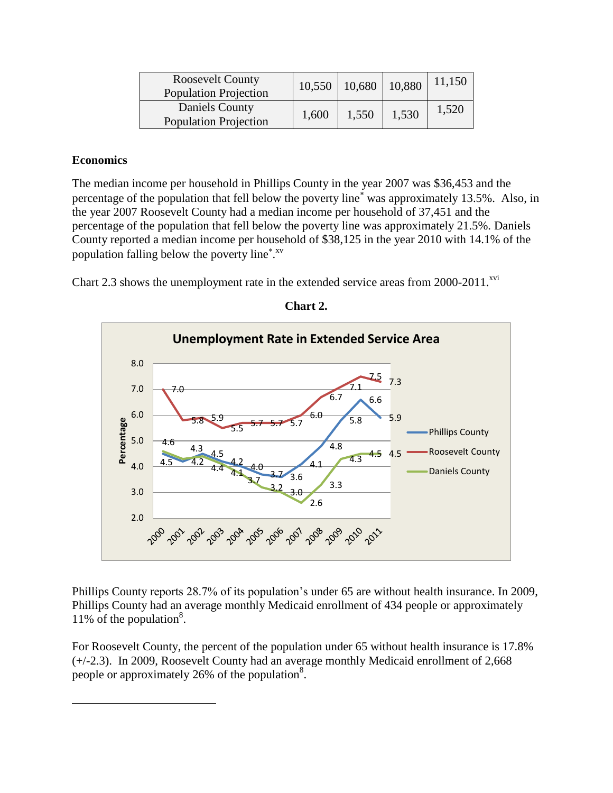| <b>Roosevelt County</b><br><b>Population Projection</b> | 10,550 | 10,680 | 10,880 | 11,150 |
|---------------------------------------------------------|--------|--------|--------|--------|
| Daniels County<br><b>Population Projection</b>          | 1,600  | 1,550  | 1,530  | 1,520  |

### **Economics**

 $\overline{\phantom{a}}$ 

The median income per household in Phillips County in the year 2007 was \$36,453 and the percentage of the population that fell below the poverty line<sup>\*</sup> was approximately 13.5%. Also, in the year 2007 Roosevelt County had a median income per household of 37,451 and the percentage of the population that fell below the poverty line was approximately 21.5%. Daniels County reported a median income per household of \$38,125 in the year 2010 with 14.1% of the population falling below the poverty line<sup>\*</sup>.<sup>xv</sup>

Chart 2.3 shows the unemployment rate in the extended service areas from  $2000-2011$ .<sup>xvi</sup>



**Chart 2.**

Phillips County reports 28.7% of its population's under 65 are without health insurance. In 2009, Phillips County had an average monthly Medicaid enrollment of 434 people or approximately 11% of the population<sup>8</sup>.

For Roosevelt County, the percent of the population under 65 without health insurance is 17.8% (+/-2.3). In 2009, Roosevelt County had an average monthly Medicaid enrollment of 2,668 people or approximately 26% of the population $8$ .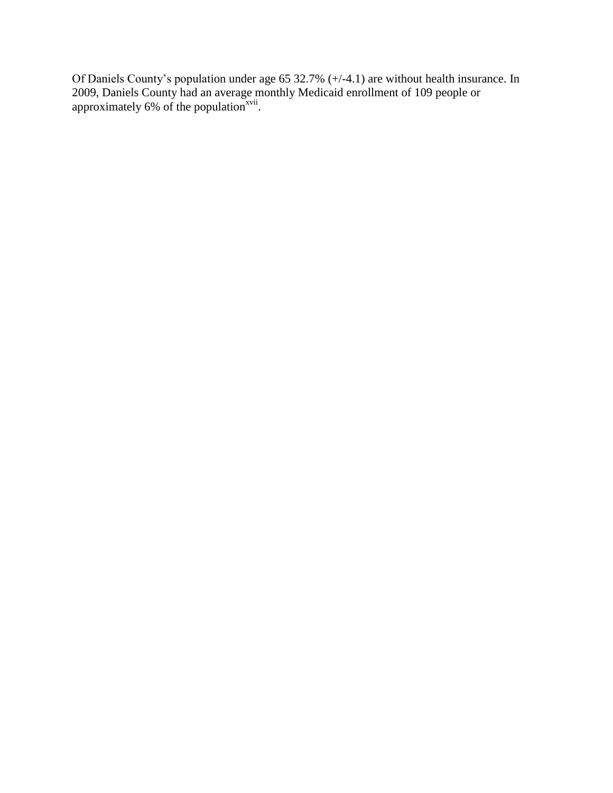Of Daniels County's population under age 65 32.7% (+/-4.1) are without health insurance. In 2009, Daniels County had an average monthly Medicaid enrollment of 109 people or approximately  $6\%$  of the population<sup>xvii</sup>.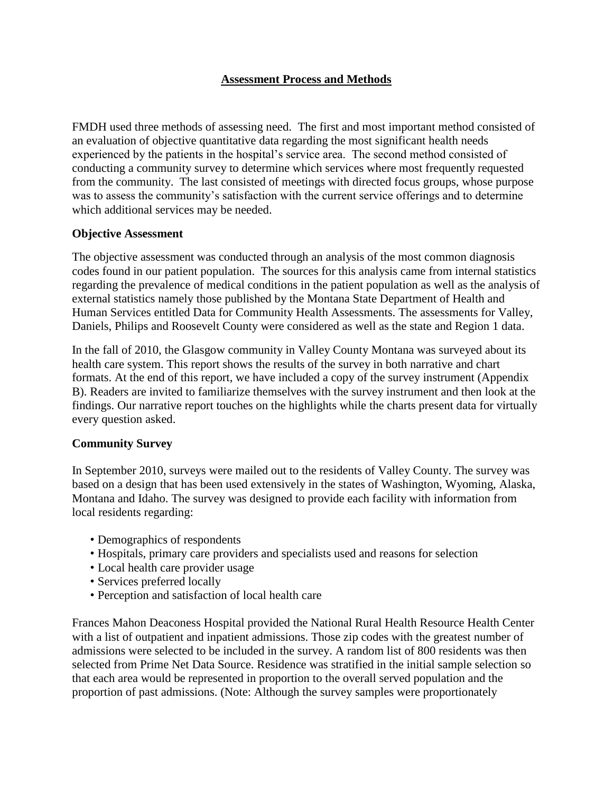### **Assessment Process and Methods**

FMDH used three methods of assessing need. The first and most important method consisted of an evaluation of objective quantitative data regarding the most significant health needs experienced by the patients in the hospital's service area. The second method consisted of conducting a community survey to determine which services where most frequently requested from the community. The last consisted of meetings with directed focus groups, whose purpose was to assess the community's satisfaction with the current service offerings and to determine which additional services may be needed.

#### **Objective Assessment**

The objective assessment was conducted through an analysis of the most common diagnosis codes found in our patient population. The sources for this analysis came from internal statistics regarding the prevalence of medical conditions in the patient population as well as the analysis of external statistics namely those published by the Montana State Department of Health and Human Services entitled Data for Community Health Assessments. The assessments for Valley, Daniels, Philips and Roosevelt County were considered as well as the state and Region 1 data.

In the fall of 2010, the Glasgow community in Valley County Montana was surveyed about its health care system. This report shows the results of the survey in both narrative and chart formats. At the end of this report, we have included a copy of the survey instrument (Appendix B). Readers are invited to familiarize themselves with the survey instrument and then look at the findings. Our narrative report touches on the highlights while the charts present data for virtually every question asked.

### **Community Survey**

In September 2010, surveys were mailed out to the residents of Valley County. The survey was based on a design that has been used extensively in the states of Washington, Wyoming, Alaska, Montana and Idaho. The survey was designed to provide each facility with information from local residents regarding:

- Demographics of respondents
- Hospitals, primary care providers and specialists used and reasons for selection
- Local health care provider usage
- Services preferred locally
- Perception and satisfaction of local health care

Frances Mahon Deaconess Hospital provided the National Rural Health Resource Health Center with a list of outpatient and inpatient admissions. Those zip codes with the greatest number of admissions were selected to be included in the survey. A random list of 800 residents was then selected from Prime Net Data Source. Residence was stratified in the initial sample selection so that each area would be represented in proportion to the overall served population and the proportion of past admissions. (Note: Although the survey samples were proportionately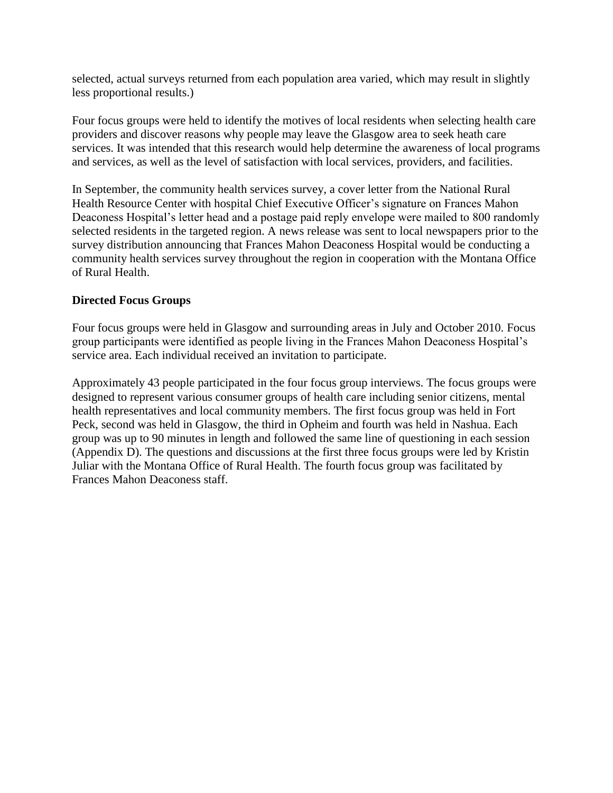selected, actual surveys returned from each population area varied, which may result in slightly less proportional results.)

Four focus groups were held to identify the motives of local residents when selecting health care providers and discover reasons why people may leave the Glasgow area to seek heath care services. It was intended that this research would help determine the awareness of local programs and services, as well as the level of satisfaction with local services, providers, and facilities.

In September, the community health services survey, a cover letter from the National Rural Health Resource Center with hospital Chief Executive Officer's signature on Frances Mahon Deaconess Hospital's letter head and a postage paid reply envelope were mailed to 800 randomly selected residents in the targeted region. A news release was sent to local newspapers prior to the survey distribution announcing that Frances Mahon Deaconess Hospital would be conducting a community health services survey throughout the region in cooperation with the Montana Office of Rural Health.

### **Directed Focus Groups**

Four focus groups were held in Glasgow and surrounding areas in July and October 2010. Focus group participants were identified as people living in the Frances Mahon Deaconess Hospital's service area. Each individual received an invitation to participate.

Approximately 43 people participated in the four focus group interviews. The focus groups were designed to represent various consumer groups of health care including senior citizens, mental health representatives and local community members. The first focus group was held in Fort Peck, second was held in Glasgow, the third in Opheim and fourth was held in Nashua. Each group was up to 90 minutes in length and followed the same line of questioning in each session (Appendix D). The questions and discussions at the first three focus groups were led by Kristin Juliar with the Montana Office of Rural Health. The fourth focus group was facilitated by Frances Mahon Deaconess staff.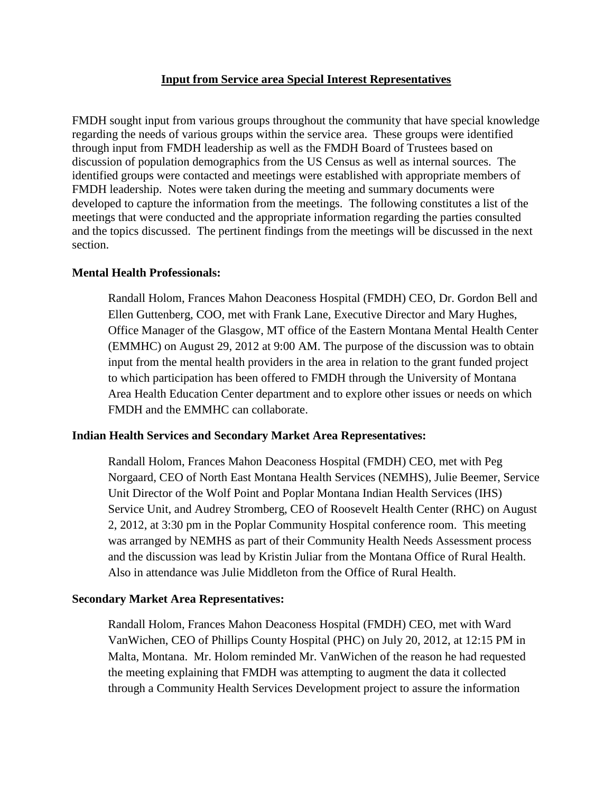#### **Input from Service area Special Interest Representatives**

FMDH sought input from various groups throughout the community that have special knowledge regarding the needs of various groups within the service area. These groups were identified through input from FMDH leadership as well as the FMDH Board of Trustees based on discussion of population demographics from the US Census as well as internal sources. The identified groups were contacted and meetings were established with appropriate members of FMDH leadership. Notes were taken during the meeting and summary documents were developed to capture the information from the meetings. The following constitutes a list of the meetings that were conducted and the appropriate information regarding the parties consulted and the topics discussed. The pertinent findings from the meetings will be discussed in the next section.

#### **Mental Health Professionals:**

Randall Holom, Frances Mahon Deaconess Hospital (FMDH) CEO, Dr. Gordon Bell and Ellen Guttenberg, COO, met with Frank Lane, Executive Director and Mary Hughes, Office Manager of the Glasgow, MT office of the Eastern Montana Mental Health Center (EMMHC) on August 29, 2012 at 9:00 AM. The purpose of the discussion was to obtain input from the mental health providers in the area in relation to the grant funded project to which participation has been offered to FMDH through the University of Montana Area Health Education Center department and to explore other issues or needs on which FMDH and the EMMHC can collaborate.

#### **Indian Health Services and Secondary Market Area Representatives:**

Randall Holom, Frances Mahon Deaconess Hospital (FMDH) CEO, met with Peg Norgaard, CEO of North East Montana Health Services (NEMHS), Julie Beemer, Service Unit Director of the Wolf Point and Poplar Montana Indian Health Services (IHS) Service Unit, and Audrey Stromberg, CEO of Roosevelt Health Center (RHC) on August 2, 2012, at 3:30 pm in the Poplar Community Hospital conference room. This meeting was arranged by NEMHS as part of their Community Health Needs Assessment process and the discussion was lead by Kristin Juliar from the Montana Office of Rural Health. Also in attendance was Julie Middleton from the Office of Rural Health.

#### **Secondary Market Area Representatives:**

Randall Holom, Frances Mahon Deaconess Hospital (FMDH) CEO, met with Ward VanWichen, CEO of Phillips County Hospital (PHC) on July 20, 2012, at 12:15 PM in Malta, Montana. Mr. Holom reminded Mr. VanWichen of the reason he had requested the meeting explaining that FMDH was attempting to augment the data it collected through a Community Health Services Development project to assure the information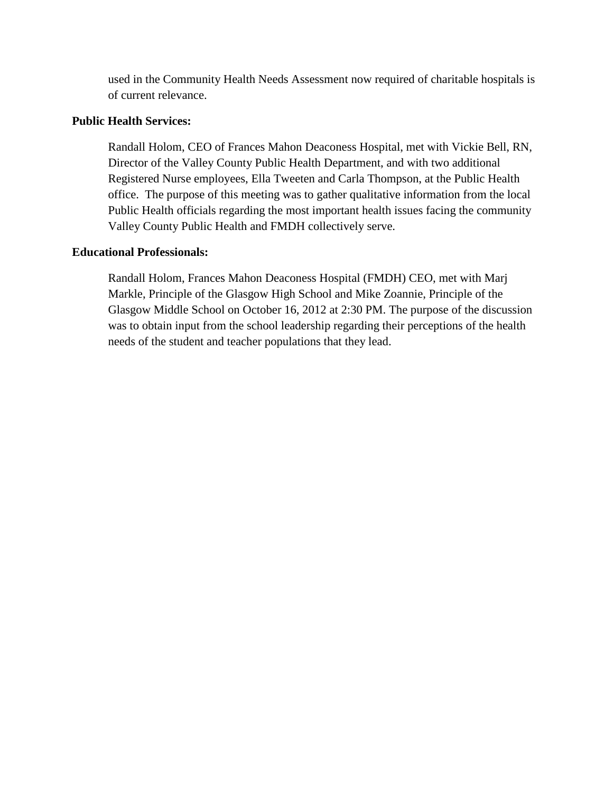used in the Community Health Needs Assessment now required of charitable hospitals is of current relevance.

#### **Public Health Services:**

Randall Holom, CEO of Frances Mahon Deaconess Hospital, met with Vickie Bell, RN, Director of the Valley County Public Health Department, and with two additional Registered Nurse employees, Ella Tweeten and Carla Thompson, at the Public Health office. The purpose of this meeting was to gather qualitative information from the local Public Health officials regarding the most important health issues facing the community Valley County Public Health and FMDH collectively serve.

#### **Educational Professionals:**

Randall Holom, Frances Mahon Deaconess Hospital (FMDH) CEO, met with Marj Markle, Principle of the Glasgow High School and Mike Zoannie, Principle of the Glasgow Middle School on October 16, 2012 at 2:30 PM. The purpose of the discussion was to obtain input from the school leadership regarding their perceptions of the health needs of the student and teacher populations that they lead.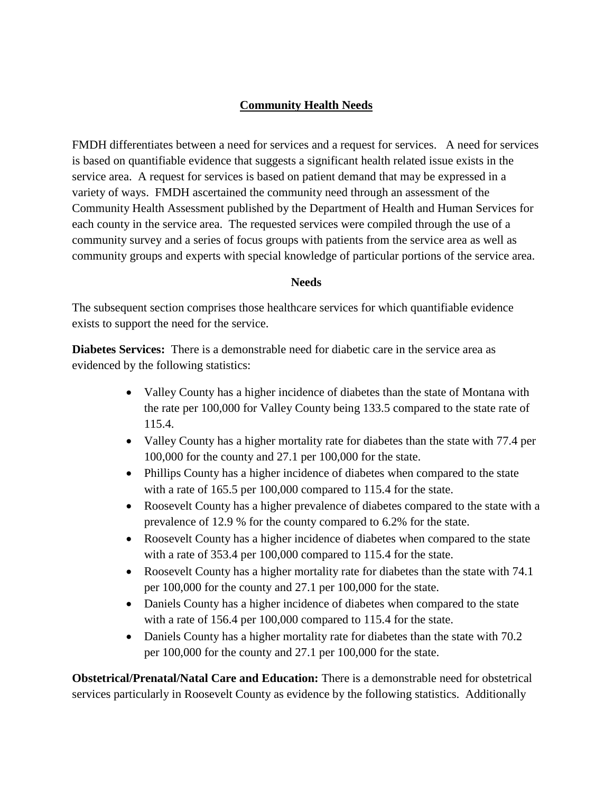## **Community Health Needs**

FMDH differentiates between a need for services and a request for services. A need for services is based on quantifiable evidence that suggests a significant health related issue exists in the service area. A request for services is based on patient demand that may be expressed in a variety of ways. FMDH ascertained the community need through an assessment of the Community Health Assessment published by the Department of Health and Human Services for each county in the service area. The requested services were compiled through the use of a community survey and a series of focus groups with patients from the service area as well as community groups and experts with special knowledge of particular portions of the service area.

#### **Needs**

The subsequent section comprises those healthcare services for which quantifiable evidence exists to support the need for the service.

**Diabetes Services:** There is a demonstrable need for diabetic care in the service area as evidenced by the following statistics:

- Valley County has a higher incidence of diabetes than the state of Montana with the rate per 100,000 for Valley County being 133.5 compared to the state rate of 115.4.
- Valley County has a higher mortality rate for diabetes than the state with 77.4 per 100,000 for the county and 27.1 per 100,000 for the state.
- Phillips County has a higher incidence of diabetes when compared to the state with a rate of 165.5 per 100,000 compared to 115.4 for the state.
- Roosevelt County has a higher prevalence of diabetes compared to the state with a prevalence of 12.9 % for the county compared to 6.2% for the state.
- Roosevelt County has a higher incidence of diabetes when compared to the state with a rate of 353.4 per 100,000 compared to 115.4 for the state.
- Roosevelt County has a higher mortality rate for diabetes than the state with 74.1 per 100,000 for the county and 27.1 per 100,000 for the state.
- Daniels County has a higher incidence of diabetes when compared to the state with a rate of 156.4 per 100,000 compared to 115.4 for the state.
- Daniels County has a higher mortality rate for diabetes than the state with 70.2 per 100,000 for the county and 27.1 per 100,000 for the state.

**Obstetrical/Prenatal/Natal Care and Education:** There is a demonstrable need for obstetrical services particularly in Roosevelt County as evidence by the following statistics. Additionally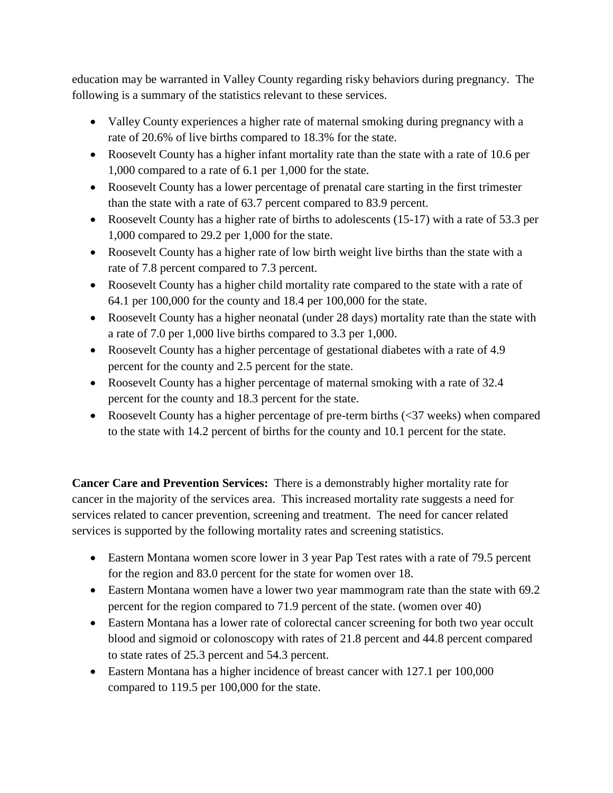education may be warranted in Valley County regarding risky behaviors during pregnancy. The following is a summary of the statistics relevant to these services.

- Valley County experiences a higher rate of maternal smoking during pregnancy with a rate of 20.6% of live births compared to 18.3% for the state.
- Roosevelt County has a higher infant mortality rate than the state with a rate of 10.6 per 1,000 compared to a rate of 6.1 per 1,000 for the state.
- Roosevelt County has a lower percentage of prenatal care starting in the first trimester than the state with a rate of 63.7 percent compared to 83.9 percent.
- Roosevelt County has a higher rate of births to adolescents (15-17) with a rate of 53.3 per 1,000 compared to 29.2 per 1,000 for the state.
- Roosevelt County has a higher rate of low birth weight live births than the state with a rate of 7.8 percent compared to 7.3 percent.
- Roosevelt County has a higher child mortality rate compared to the state with a rate of 64.1 per 100,000 for the county and 18.4 per 100,000 for the state.
- Roosevelt County has a higher neonatal (under 28 days) mortality rate than the state with a rate of 7.0 per 1,000 live births compared to 3.3 per 1,000.
- Roosevelt County has a higher percentage of gestational diabetes with a rate of 4.9 percent for the county and 2.5 percent for the state.
- Roosevelt County has a higher percentage of maternal smoking with a rate of 32.4 percent for the county and 18.3 percent for the state.
- Roosevelt County has a higher percentage of pre-term births (<37 weeks) when compared to the state with 14.2 percent of births for the county and 10.1 percent for the state.

**Cancer Care and Prevention Services:** There is a demonstrably higher mortality rate for cancer in the majority of the services area. This increased mortality rate suggests a need for services related to cancer prevention, screening and treatment. The need for cancer related services is supported by the following mortality rates and screening statistics.

- Eastern Montana women score lower in 3 year Pap Test rates with a rate of 79.5 percent for the region and 83.0 percent for the state for women over 18.
- Eastern Montana women have a lower two year mammogram rate than the state with 69.2 percent for the region compared to 71.9 percent of the state. (women over 40)
- Eastern Montana has a lower rate of colorectal cancer screening for both two year occult blood and sigmoid or colonoscopy with rates of 21.8 percent and 44.8 percent compared to state rates of 25.3 percent and 54.3 percent.
- Eastern Montana has a higher incidence of breast cancer with 127.1 per 100,000 compared to 119.5 per 100,000 for the state.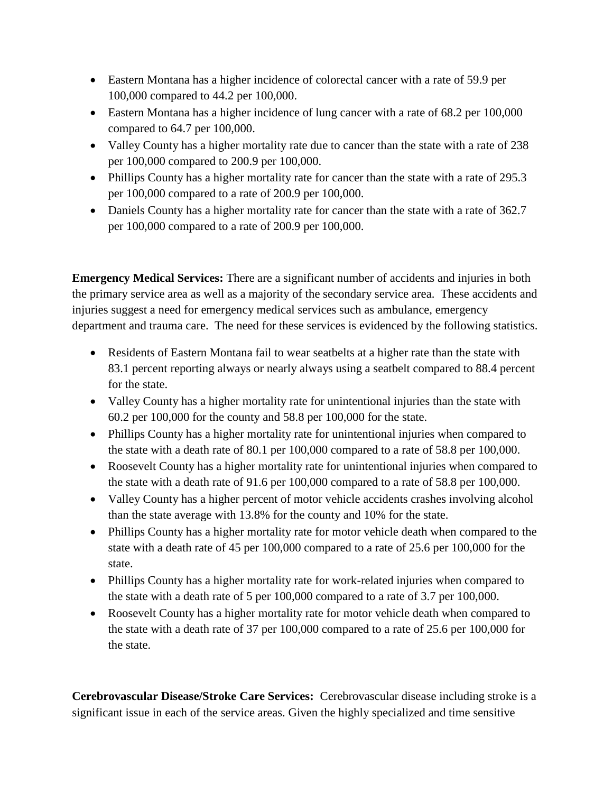- Eastern Montana has a higher incidence of colorectal cancer with a rate of 59.9 per 100,000 compared to 44.2 per 100,000.
- Eastern Montana has a higher incidence of lung cancer with a rate of 68.2 per 100,000 compared to 64.7 per 100,000.
- Valley County has a higher mortality rate due to cancer than the state with a rate of 238 per 100,000 compared to 200.9 per 100,000.
- Phillips County has a higher mortality rate for cancer than the state with a rate of 295.3 per 100,000 compared to a rate of 200.9 per 100,000.
- Daniels County has a higher mortality rate for cancer than the state with a rate of 362.7 per 100,000 compared to a rate of 200.9 per 100,000.

**Emergency Medical Services:** There are a significant number of accidents and injuries in both the primary service area as well as a majority of the secondary service area. These accidents and injuries suggest a need for emergency medical services such as ambulance, emergency department and trauma care. The need for these services is evidenced by the following statistics.

- Residents of Eastern Montana fail to wear seatbelts at a higher rate than the state with 83.1 percent reporting always or nearly always using a seatbelt compared to 88.4 percent for the state.
- Valley County has a higher mortality rate for unintentional injuries than the state with 60.2 per 100,000 for the county and 58.8 per 100,000 for the state.
- Phillips County has a higher mortality rate for unintentional injuries when compared to the state with a death rate of 80.1 per 100,000 compared to a rate of 58.8 per 100,000.
- Roosevelt County has a higher mortality rate for unintentional injuries when compared to the state with a death rate of 91.6 per 100,000 compared to a rate of 58.8 per 100,000.
- Valley County has a higher percent of motor vehicle accidents crashes involving alcohol than the state average with 13.8% for the county and 10% for the state.
- Phillips County has a higher mortality rate for motor vehicle death when compared to the state with a death rate of 45 per 100,000 compared to a rate of 25.6 per 100,000 for the state.
- Phillips County has a higher mortality rate for work-related injuries when compared to the state with a death rate of 5 per 100,000 compared to a rate of 3.7 per 100,000.
- Roosevelt County has a higher mortality rate for motor vehicle death when compared to the state with a death rate of 37 per 100,000 compared to a rate of 25.6 per 100,000 for the state.

**Cerebrovascular Disease/Stroke Care Services:** Cerebrovascular disease including stroke is a significant issue in each of the service areas. Given the highly specialized and time sensitive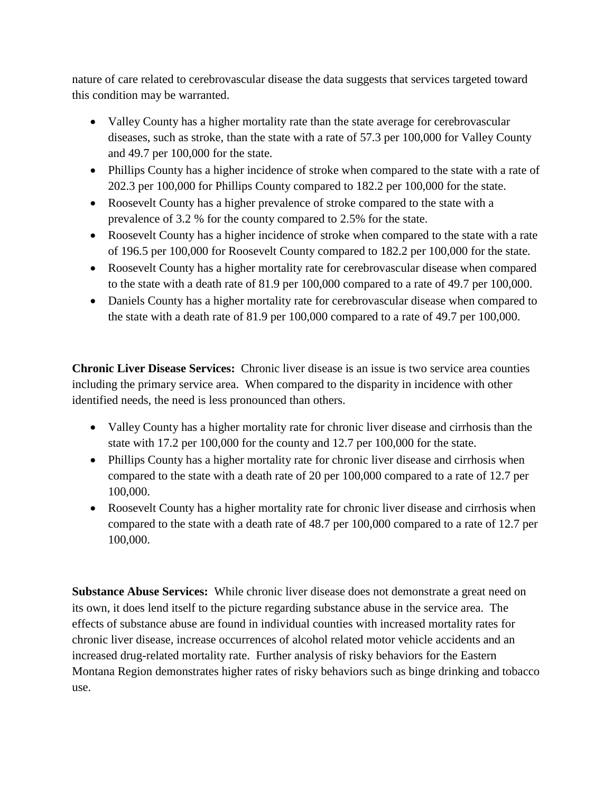nature of care related to cerebrovascular disease the data suggests that services targeted toward this condition may be warranted.

- Valley County has a higher mortality rate than the state average for cerebrovascular diseases, such as stroke, than the state with a rate of 57.3 per 100,000 for Valley County and 49.7 per 100,000 for the state.
- Phillips County has a higher incidence of stroke when compared to the state with a rate of 202.3 per 100,000 for Phillips County compared to 182.2 per 100,000 for the state.
- Roosevelt County has a higher prevalence of stroke compared to the state with a prevalence of 3.2 % for the county compared to 2.5% for the state.
- Roosevelt County has a higher incidence of stroke when compared to the state with a rate of 196.5 per 100,000 for Roosevelt County compared to 182.2 per 100,000 for the state.
- Roosevelt County has a higher mortality rate for cerebrovascular disease when compared to the state with a death rate of 81.9 per 100,000 compared to a rate of 49.7 per 100,000.
- Daniels County has a higher mortality rate for cerebrovascular disease when compared to the state with a death rate of 81.9 per 100,000 compared to a rate of 49.7 per 100,000.

**Chronic Liver Disease Services:** Chronic liver disease is an issue is two service area counties including the primary service area. When compared to the disparity in incidence with other identified needs, the need is less pronounced than others.

- Valley County has a higher mortality rate for chronic liver disease and cirrhosis than the state with 17.2 per 100,000 for the county and 12.7 per 100,000 for the state.
- Phillips County has a higher mortality rate for chronic liver disease and cirrhosis when compared to the state with a death rate of 20 per 100,000 compared to a rate of 12.7 per 100,000.
- Roosevelt County has a higher mortality rate for chronic liver disease and cirrhosis when compared to the state with a death rate of 48.7 per 100,000 compared to a rate of 12.7 per 100,000.

**Substance Abuse Services:** While chronic liver disease does not demonstrate a great need on its own, it does lend itself to the picture regarding substance abuse in the service area. The effects of substance abuse are found in individual counties with increased mortality rates for chronic liver disease, increase occurrences of alcohol related motor vehicle accidents and an increased drug-related mortality rate. Further analysis of risky behaviors for the Eastern Montana Region demonstrates higher rates of risky behaviors such as binge drinking and tobacco use.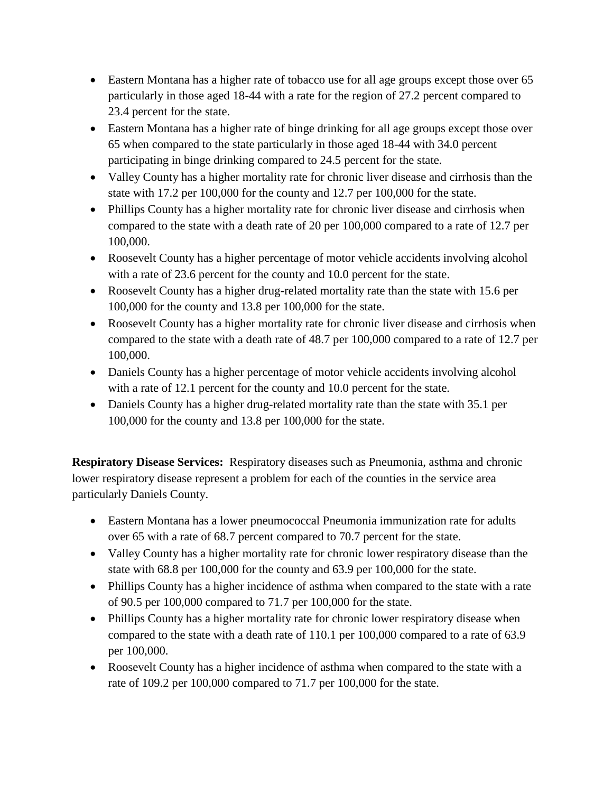- Eastern Montana has a higher rate of tobacco use for all age groups except those over 65 particularly in those aged 18-44 with a rate for the region of 27.2 percent compared to 23.4 percent for the state.
- Eastern Montana has a higher rate of binge drinking for all age groups except those over 65 when compared to the state particularly in those aged 18-44 with 34.0 percent participating in binge drinking compared to 24.5 percent for the state.
- Valley County has a higher mortality rate for chronic liver disease and cirrhosis than the state with 17.2 per 100,000 for the county and 12.7 per 100,000 for the state.
- Phillips County has a higher mortality rate for chronic liver disease and cirrhosis when compared to the state with a death rate of 20 per 100,000 compared to a rate of 12.7 per 100,000.
- Roosevelt County has a higher percentage of motor vehicle accidents involving alcohol with a rate of 23.6 percent for the county and 10.0 percent for the state.
- Roosevelt County has a higher drug-related mortality rate than the state with 15.6 per 100,000 for the county and 13.8 per 100,000 for the state.
- Roosevelt County has a higher mortality rate for chronic liver disease and cirrhosis when compared to the state with a death rate of 48.7 per 100,000 compared to a rate of 12.7 per 100,000.
- Daniels County has a higher percentage of motor vehicle accidents involving alcohol with a rate of 12.1 percent for the county and 10.0 percent for the state.
- Daniels County has a higher drug-related mortality rate than the state with 35.1 per 100,000 for the county and 13.8 per 100,000 for the state.

**Respiratory Disease Services:** Respiratory diseases such as Pneumonia, asthma and chronic lower respiratory disease represent a problem for each of the counties in the service area particularly Daniels County.

- Eastern Montana has a lower pneumococcal Pneumonia immunization rate for adults over 65 with a rate of 68.7 percent compared to 70.7 percent for the state.
- Valley County has a higher mortality rate for chronic lower respiratory disease than the state with 68.8 per 100,000 for the county and 63.9 per 100,000 for the state.
- Phillips County has a higher incidence of asthma when compared to the state with a rate of 90.5 per 100,000 compared to 71.7 per 100,000 for the state.
- Phillips County has a higher mortality rate for chronic lower respiratory disease when compared to the state with a death rate of 110.1 per 100,000 compared to a rate of 63.9 per 100,000.
- Roosevelt County has a higher incidence of asthma when compared to the state with a rate of 109.2 per 100,000 compared to 71.7 per 100,000 for the state.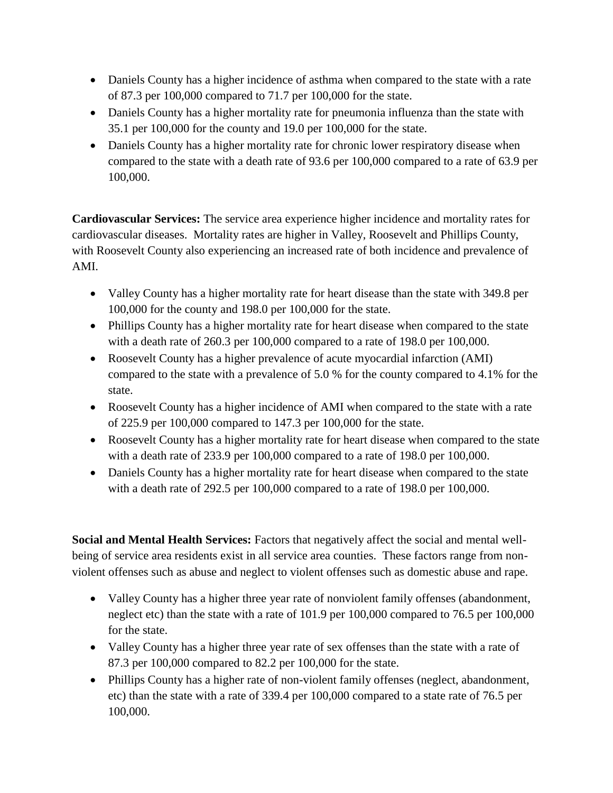- Daniels County has a higher incidence of asthma when compared to the state with a rate of 87.3 per 100,000 compared to 71.7 per 100,000 for the state.
- Daniels County has a higher mortality rate for pneumonia influenza than the state with 35.1 per 100,000 for the county and 19.0 per 100,000 for the state.
- Daniels County has a higher mortality rate for chronic lower respiratory disease when compared to the state with a death rate of 93.6 per 100,000 compared to a rate of 63.9 per 100,000.

**Cardiovascular Services:** The service area experience higher incidence and mortality rates for cardiovascular diseases. Mortality rates are higher in Valley, Roosevelt and Phillips County, with Roosevelt County also experiencing an increased rate of both incidence and prevalence of AMI.

- Valley County has a higher mortality rate for heart disease than the state with 349.8 per 100,000 for the county and 198.0 per 100,000 for the state.
- Phillips County has a higher mortality rate for heart disease when compared to the state with a death rate of 260.3 per 100,000 compared to a rate of 198.0 per 100,000.
- Roosevelt County has a higher prevalence of acute myocardial infarction (AMI) compared to the state with a prevalence of 5.0 % for the county compared to 4.1% for the state.
- Roosevelt County has a higher incidence of AMI when compared to the state with a rate of 225.9 per 100,000 compared to 147.3 per 100,000 for the state.
- Roosevelt County has a higher mortality rate for heart disease when compared to the state with a death rate of 233.9 per 100,000 compared to a rate of 198.0 per 100,000.
- Daniels County has a higher mortality rate for heart disease when compared to the state with a death rate of 292.5 per 100,000 compared to a rate of 198.0 per 100,000.

**Social and Mental Health Services:** Factors that negatively affect the social and mental wellbeing of service area residents exist in all service area counties. These factors range from nonviolent offenses such as abuse and neglect to violent offenses such as domestic abuse and rape.

- Valley County has a higher three year rate of nonviolent family offenses (abandonment, neglect etc) than the state with a rate of 101.9 per 100,000 compared to 76.5 per 100,000 for the state.
- Valley County has a higher three year rate of sex offenses than the state with a rate of 87.3 per 100,000 compared to 82.2 per 100,000 for the state.
- Phillips County has a higher rate of non-violent family offenses (neglect, abandonment, etc) than the state with a rate of 339.4 per 100,000 compared to a state rate of 76.5 per 100,000.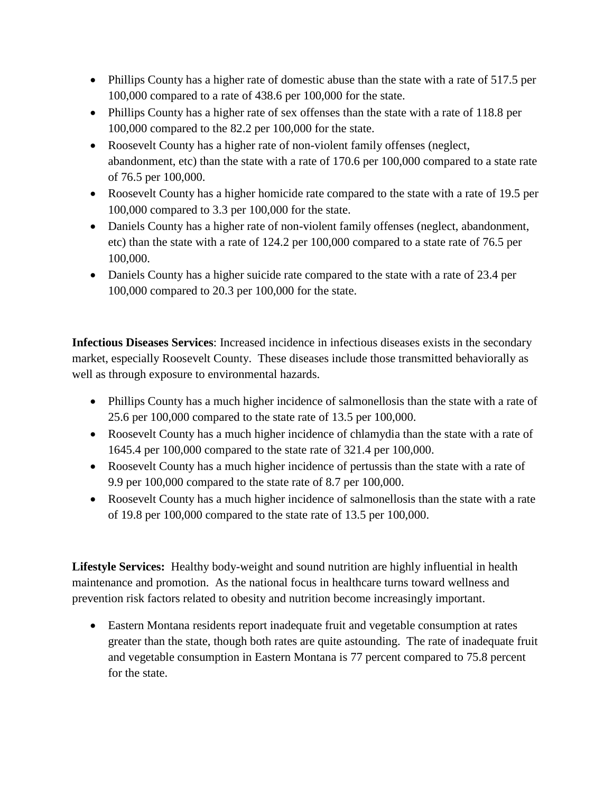- Phillips County has a higher rate of domestic abuse than the state with a rate of 517.5 per 100,000 compared to a rate of 438.6 per 100,000 for the state.
- Phillips County has a higher rate of sex offenses than the state with a rate of 118.8 per 100,000 compared to the 82.2 per 100,000 for the state.
- Roosevelt County has a higher rate of non-violent family offenses (neglect, abandonment, etc) than the state with a rate of 170.6 per 100,000 compared to a state rate of 76.5 per 100,000.
- Roosevelt County has a higher homicide rate compared to the state with a rate of 19.5 per 100,000 compared to 3.3 per 100,000 for the state.
- Daniels County has a higher rate of non-violent family offenses (neglect, abandonment, etc) than the state with a rate of 124.2 per 100,000 compared to a state rate of 76.5 per 100,000.
- Daniels County has a higher suicide rate compared to the state with a rate of 23.4 per 100,000 compared to 20.3 per 100,000 for the state.

**Infectious Diseases Services**: Increased incidence in infectious diseases exists in the secondary market, especially Roosevelt County. These diseases include those transmitted behaviorally as well as through exposure to environmental hazards.

- Phillips County has a much higher incidence of salmonellosis than the state with a rate of 25.6 per 100,000 compared to the state rate of 13.5 per 100,000.
- Roosevelt County has a much higher incidence of chlamydia than the state with a rate of 1645.4 per 100,000 compared to the state rate of 321.4 per 100,000.
- Roosevelt County has a much higher incidence of pertussis than the state with a rate of 9.9 per 100,000 compared to the state rate of 8.7 per 100,000.
- Roosevelt County has a much higher incidence of salmonellosis than the state with a rate of 19.8 per 100,000 compared to the state rate of 13.5 per 100,000.

**Lifestyle Services:** Healthy body-weight and sound nutrition are highly influential in health maintenance and promotion. As the national focus in healthcare turns toward wellness and prevention risk factors related to obesity and nutrition become increasingly important.

 Eastern Montana residents report inadequate fruit and vegetable consumption at rates greater than the state, though both rates are quite astounding. The rate of inadequate fruit and vegetable consumption in Eastern Montana is 77 percent compared to 75.8 percent for the state.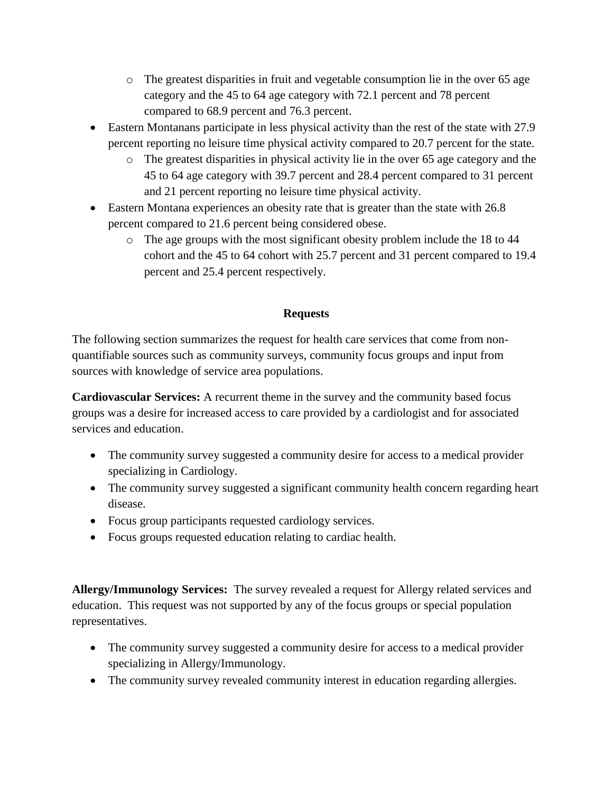- $\circ$  The greatest disparities in fruit and vegetable consumption lie in the over 65 age category and the 45 to 64 age category with 72.1 percent and 78 percent compared to 68.9 percent and 76.3 percent.
- Eastern Montanans participate in less physical activity than the rest of the state with 27.9 percent reporting no leisure time physical activity compared to 20.7 percent for the state.
	- o The greatest disparities in physical activity lie in the over 65 age category and the 45 to 64 age category with 39.7 percent and 28.4 percent compared to 31 percent and 21 percent reporting no leisure time physical activity.
- Eastern Montana experiences an obesity rate that is greater than the state with 26.8 percent compared to 21.6 percent being considered obese.
	- $\circ$  The age groups with the most significant obesity problem include the 18 to 44 cohort and the 45 to 64 cohort with 25.7 percent and 31 percent compared to 19.4 percent and 25.4 percent respectively.

## **Requests**

The following section summarizes the request for health care services that come from nonquantifiable sources such as community surveys, community focus groups and input from sources with knowledge of service area populations.

**Cardiovascular Services:** A recurrent theme in the survey and the community based focus groups was a desire for increased access to care provided by a cardiologist and for associated services and education.

- The community survey suggested a community desire for access to a medical provider specializing in Cardiology.
- The community survey suggested a significant community health concern regarding heart disease.
- Focus group participants requested cardiology services.
- Focus groups requested education relating to cardiac health.

**Allergy/Immunology Services:** The survey revealed a request for Allergy related services and education. This request was not supported by any of the focus groups or special population representatives.

- The community survey suggested a community desire for access to a medical provider specializing in Allergy/Immunology.
- The community survey revealed community interest in education regarding allergies.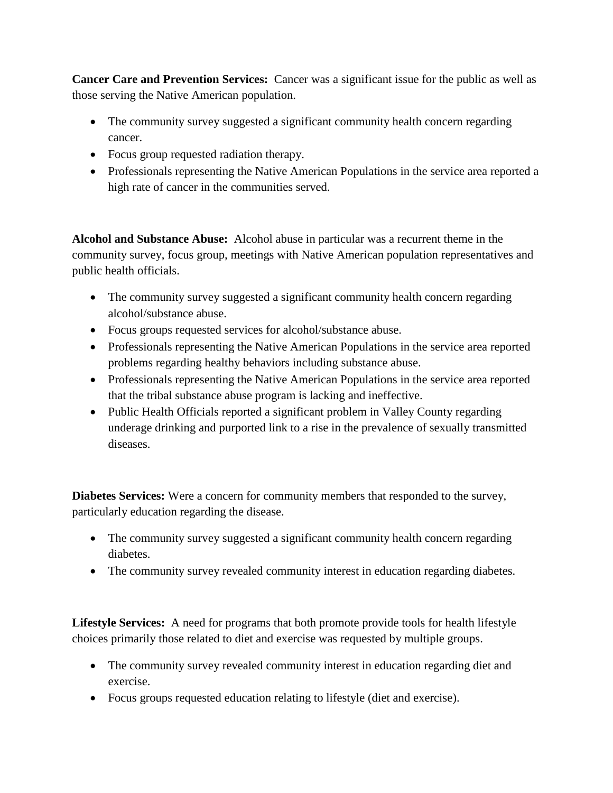**Cancer Care and Prevention Services:** Cancer was a significant issue for the public as well as those serving the Native American population.

- The community survey suggested a significant community health concern regarding cancer.
- Focus group requested radiation therapy.
- Professionals representing the Native American Populations in the service area reported a high rate of cancer in the communities served.

**Alcohol and Substance Abuse:** Alcohol abuse in particular was a recurrent theme in the community survey, focus group, meetings with Native American population representatives and public health officials.

- The community survey suggested a significant community health concern regarding alcohol/substance abuse.
- Focus groups requested services for alcohol/substance abuse.
- Professionals representing the Native American Populations in the service area reported problems regarding healthy behaviors including substance abuse.
- Professionals representing the Native American Populations in the service area reported that the tribal substance abuse program is lacking and ineffective.
- Public Health Officials reported a significant problem in Valley County regarding underage drinking and purported link to a rise in the prevalence of sexually transmitted diseases.

**Diabetes Services:** Were a concern for community members that responded to the survey, particularly education regarding the disease.

- The community survey suggested a significant community health concern regarding diabetes.
- The community survey revealed community interest in education regarding diabetes.

**Lifestyle Services:** A need for programs that both promote provide tools for health lifestyle choices primarily those related to diet and exercise was requested by multiple groups.

- The community survey revealed community interest in education regarding diet and exercise.
- Focus groups requested education relating to lifestyle (diet and exercise).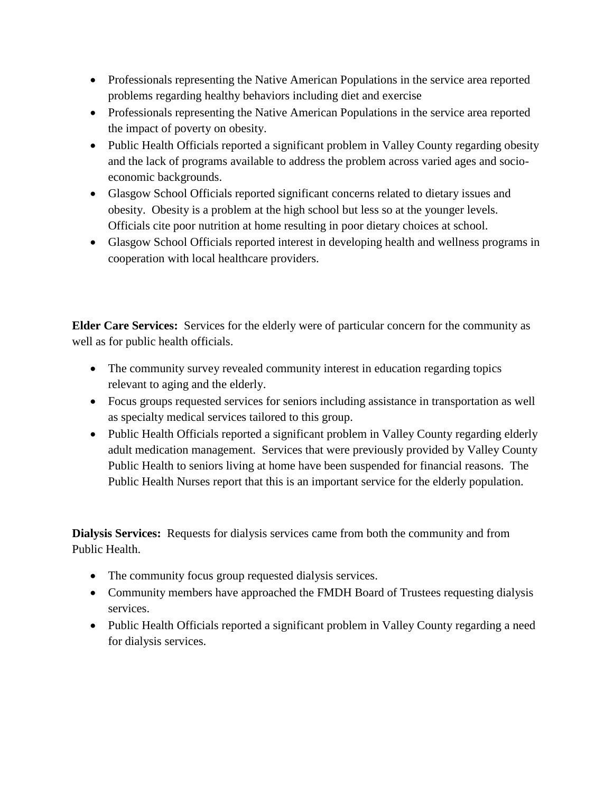- Professionals representing the Native American Populations in the service area reported problems regarding healthy behaviors including diet and exercise
- Professionals representing the Native American Populations in the service area reported the impact of poverty on obesity.
- Public Health Officials reported a significant problem in Valley County regarding obesity and the lack of programs available to address the problem across varied ages and socioeconomic backgrounds.
- Glasgow School Officials reported significant concerns related to dietary issues and obesity. Obesity is a problem at the high school but less so at the younger levels. Officials cite poor nutrition at home resulting in poor dietary choices at school.
- Glasgow School Officials reported interest in developing health and wellness programs in cooperation with local healthcare providers.

**Elder Care Services:** Services for the elderly were of particular concern for the community as well as for public health officials.

- The community survey revealed community interest in education regarding topics relevant to aging and the elderly.
- Focus groups requested services for seniors including assistance in transportation as well as specialty medical services tailored to this group.
- Public Health Officials reported a significant problem in Valley County regarding elderly adult medication management. Services that were previously provided by Valley County Public Health to seniors living at home have been suspended for financial reasons. The Public Health Nurses report that this is an important service for the elderly population.

**Dialysis Services:** Requests for dialysis services came from both the community and from Public Health.

- The community focus group requested dialysis services.
- Community members have approached the FMDH Board of Trustees requesting dialysis services.
- Public Health Officials reported a significant problem in Valley County regarding a need for dialysis services.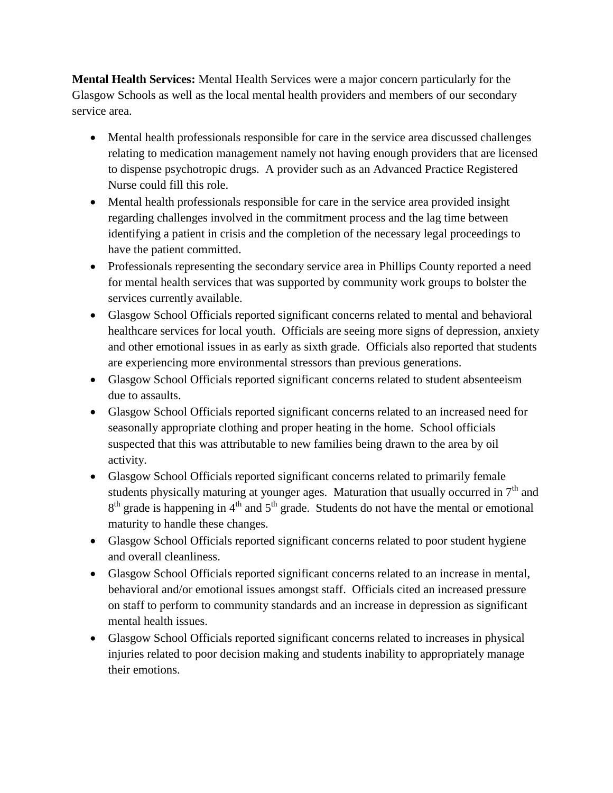**Mental Health Services:** Mental Health Services were a major concern particularly for the Glasgow Schools as well as the local mental health providers and members of our secondary service area.

- Mental health professionals responsible for care in the service area discussed challenges relating to medication management namely not having enough providers that are licensed to dispense psychotropic drugs. A provider such as an Advanced Practice Registered Nurse could fill this role.
- Mental health professionals responsible for care in the service area provided insight regarding challenges involved in the commitment process and the lag time between identifying a patient in crisis and the completion of the necessary legal proceedings to have the patient committed.
- Professionals representing the secondary service area in Phillips County reported a need for mental health services that was supported by community work groups to bolster the services currently available.
- Glasgow School Officials reported significant concerns related to mental and behavioral healthcare services for local youth. Officials are seeing more signs of depression, anxiety and other emotional issues in as early as sixth grade. Officials also reported that students are experiencing more environmental stressors than previous generations.
- Glasgow School Officials reported significant concerns related to student absenteeism due to assaults.
- Glasgow School Officials reported significant concerns related to an increased need for seasonally appropriate clothing and proper heating in the home. School officials suspected that this was attributable to new families being drawn to the area by oil activity.
- Glasgow School Officials reported significant concerns related to primarily female students physically maturing at younger ages. Maturation that usually occurred in  $7<sup>th</sup>$  and  $8<sup>th</sup>$  grade is happening in 4<sup>th</sup> and 5<sup>th</sup> grade. Students do not have the mental or emotional maturity to handle these changes.
- Glasgow School Officials reported significant concerns related to poor student hygiene and overall cleanliness.
- Glasgow School Officials reported significant concerns related to an increase in mental, behavioral and/or emotional issues amongst staff. Officials cited an increased pressure on staff to perform to community standards and an increase in depression as significant mental health issues.
- Glasgow School Officials reported significant concerns related to increases in physical injuries related to poor decision making and students inability to appropriately manage their emotions.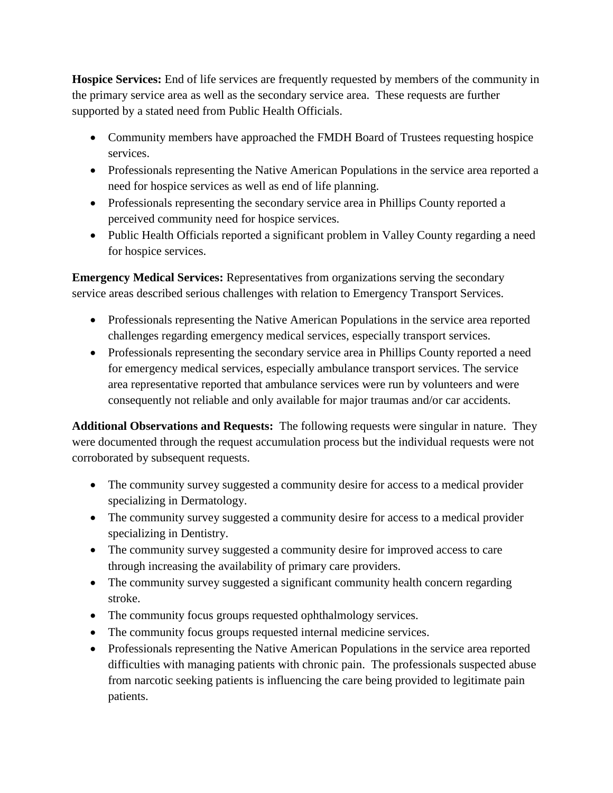**Hospice Services:** End of life services are frequently requested by members of the community in the primary service area as well as the secondary service area. These requests are further supported by a stated need from Public Health Officials.

- Community members have approached the FMDH Board of Trustees requesting hospice services.
- Professionals representing the Native American Populations in the service area reported a need for hospice services as well as end of life planning.
- Professionals representing the secondary service area in Phillips County reported a perceived community need for hospice services.
- Public Health Officials reported a significant problem in Valley County regarding a need for hospice services.

**Emergency Medical Services:** Representatives from organizations serving the secondary service areas described serious challenges with relation to Emergency Transport Services.

- Professionals representing the Native American Populations in the service area reported challenges regarding emergency medical services, especially transport services.
- Professionals representing the secondary service area in Phillips County reported a need for emergency medical services, especially ambulance transport services. The service area representative reported that ambulance services were run by volunteers and were consequently not reliable and only available for major traumas and/or car accidents.

**Additional Observations and Requests:** The following requests were singular in nature. They were documented through the request accumulation process but the individual requests were not corroborated by subsequent requests.

- The community survey suggested a community desire for access to a medical provider specializing in Dermatology.
- The community survey suggested a community desire for access to a medical provider specializing in Dentistry.
- The community survey suggested a community desire for improved access to care through increasing the availability of primary care providers.
- The community survey suggested a significant community health concern regarding stroke.
- The community focus groups requested ophthalmology services.
- The community focus groups requested internal medicine services.
- Professionals representing the Native American Populations in the service area reported difficulties with managing patients with chronic pain. The professionals suspected abuse from narcotic seeking patients is influencing the care being provided to legitimate pain patients.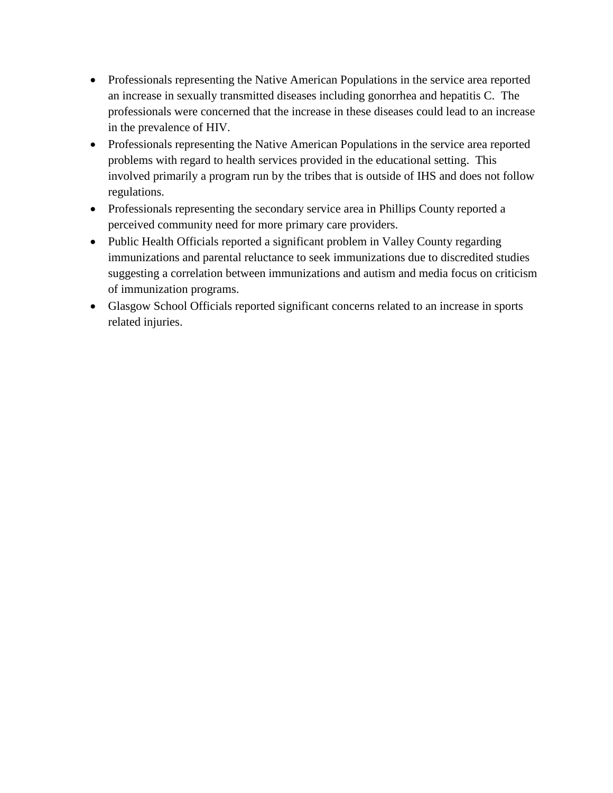- Professionals representing the Native American Populations in the service area reported an increase in sexually transmitted diseases including gonorrhea and hepatitis C. The professionals were concerned that the increase in these diseases could lead to an increase in the prevalence of HIV.
- Professionals representing the Native American Populations in the service area reported problems with regard to health services provided in the educational setting. This involved primarily a program run by the tribes that is outside of IHS and does not follow regulations.
- Professionals representing the secondary service area in Phillips County reported a perceived community need for more primary care providers.
- Public Health Officials reported a significant problem in Valley County regarding immunizations and parental reluctance to seek immunizations due to discredited studies suggesting a correlation between immunizations and autism and media focus on criticism of immunization programs.
- Glasgow School Officials reported significant concerns related to an increase in sports related injuries.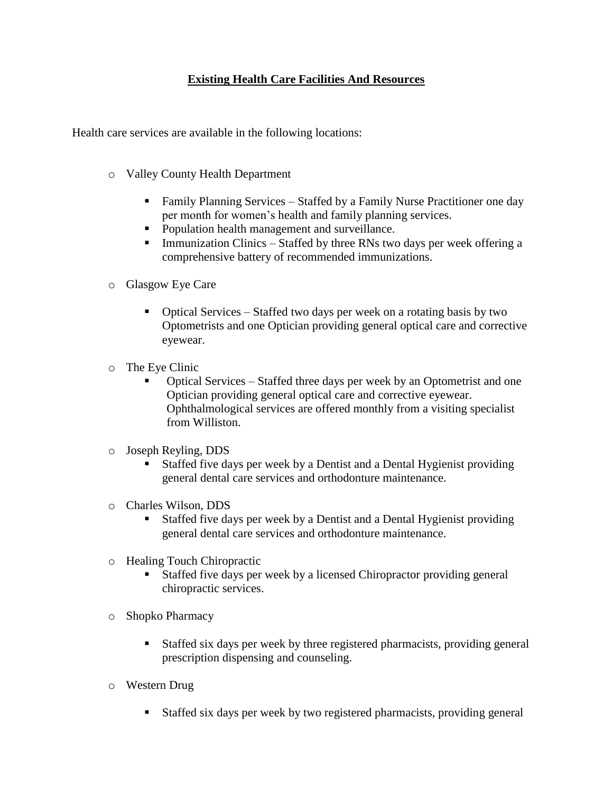## **Existing Health Care Facilities And Resources**

Health care services are available in the following locations:

- o Valley County Health Department
	- **Family Planning Services Staffed by a Family Nurse Practitioner one day** per month for women's health and family planning services.
	- **Population health management and surveillance.**
	- **Immunization Clinics Staffed by three RNs two days per week offering a** comprehensive battery of recommended immunizations.
- o Glasgow Eye Care
	- Optical Services Staffed two days per week on a rotating basis by two Optometrists and one Optician providing general optical care and corrective eyewear.
- o The Eye Clinic
	- Optical Services Staffed three days per week by an Optometrist and one Optician providing general optical care and corrective eyewear. Ophthalmological services are offered monthly from a visiting specialist from Williston.
- o Joseph Reyling, DDS
	- Staffed five days per week by a Dentist and a Dental Hygienist providing general dental care services and orthodonture maintenance.
- o Charles Wilson, DDS
	- Staffed five days per week by a Dentist and a Dental Hygienist providing general dental care services and orthodonture maintenance.
- o Healing Touch Chiropractic
	- Staffed five days per week by a licensed Chiropractor providing general chiropractic services.
- o Shopko Pharmacy
	- Staffed six days per week by three registered pharmacists, providing general prescription dispensing and counseling.
- o Western Drug
	- Staffed six days per week by two registered pharmacists, providing general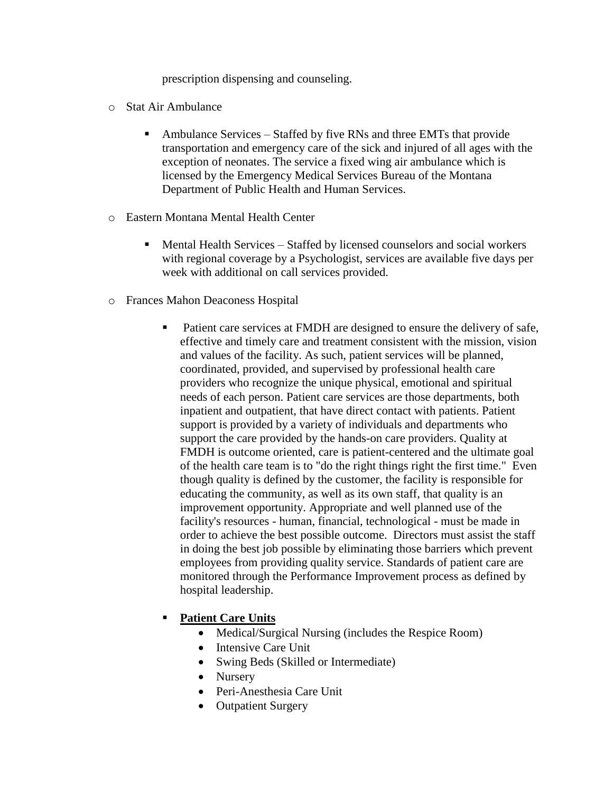prescription dispensing and counseling.

- o Stat Air Ambulance
	- Ambulance Services Staffed by five RNs and three EMTs that provide transportation and emergency care of the sick and injured of all ages with the exception of neonates. The service a fixed wing air ambulance which is licensed by the Emergency Medical Services Bureau of the Montana Department of Public Health and Human Services.
- o Eastern Montana Mental Health Center
	- Mental Health Services Staffed by licensed counselors and social workers with regional coverage by a Psychologist, services are available five days per week with additional on call services provided.
- o Frances Mahon Deaconess Hospital
	- Patient care services at FMDH are designed to ensure the delivery of safe, effective and timely care and treatment consistent with the mission, vision and values of the facility. As such, patient services will be planned, coordinated, provided, and supervised by professional health care providers who recognize the unique physical, emotional and spiritual needs of each person. Patient care services are those departments, both inpatient and outpatient, that have direct contact with patients. Patient support is provided by a variety of individuals and departments who support the care provided by the hands-on care providers. Quality at FMDH is outcome oriented, care is patient-centered and the ultimate goal of the health care team is to "do the right things right the first time." Even though quality is defined by the customer, the facility is responsible for educating the community, as well as its own staff, that quality is an improvement opportunity. Appropriate and well planned use of the facility's resources - human, financial, technological - must be made in order to achieve the best possible outcome. Directors must assist the staff in doing the best job possible by eliminating those barriers which prevent employees from providing quality service. Standards of patient care are monitored through the Performance Improvement process as defined by hospital leadership.

### **Patient Care Units**

- Medical/Surgical Nursing (includes the Respice Room)
- Intensive Care Unit
- Swing Beds (Skilled or Intermediate)
- Nursery
- Peri-Anesthesia Care Unit
- Outpatient Surgery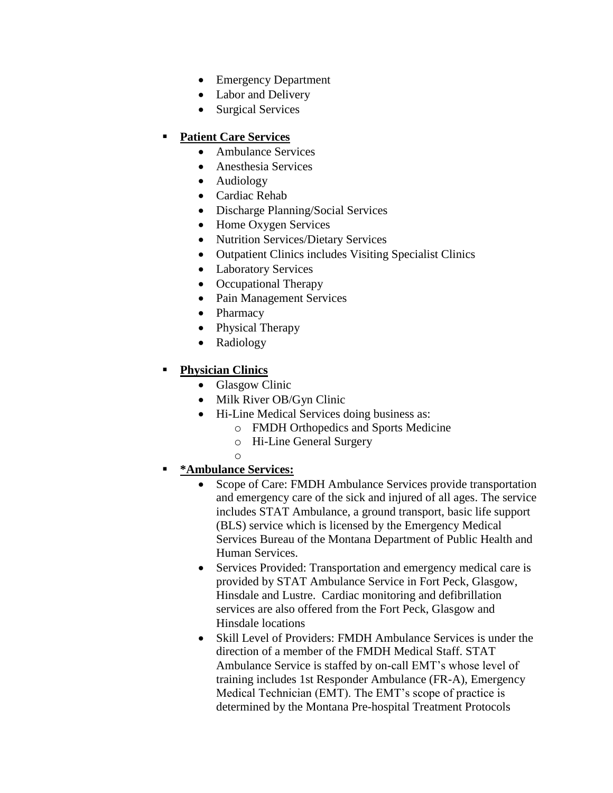- Emergency Department
- Labor and Delivery
- Surgical Services

## **Patient Care Services**

- Ambulance Services
- Anesthesia Services
- Audiology
- Cardiac Rehab
- Discharge Planning/Social Services
- Home Oxygen Services
- Nutrition Services/Dietary Services
- Outpatient Clinics includes Visiting Specialist Clinics
- Laboratory Services
- Occupational Therapy
- Pain Management Services
- Pharmacy
- Physical Therapy
- Radiology

## **Physician Clinics**

- Glasgow Clinic
- Milk River OB/Gyn Clinic
- Hi-Line Medical Services doing business as:
	- o FMDH Orthopedics and Sports Medicine
	- o Hi-Line General Surgery
	- o
- **\*Ambulance Services:**
	- Scope of Care: FMDH Ambulance Services provide transportation and emergency care of the sick and injured of all ages. The service includes STAT Ambulance, a ground transport, basic life support (BLS) service which is licensed by the Emergency Medical Services Bureau of the Montana Department of Public Health and Human Services.
	- Services Provided: Transportation and emergency medical care is provided by STAT Ambulance Service in Fort Peck, Glasgow, Hinsdale and Lustre. Cardiac monitoring and defibrillation services are also offered from the Fort Peck, Glasgow and Hinsdale locations
	- Skill Level of Providers: FMDH Ambulance Services is under the direction of a member of the FMDH Medical Staff. STAT Ambulance Service is staffed by on-call EMT's whose level of training includes 1st Responder Ambulance (FR-A), Emergency Medical Technician (EMT). The EMT's scope of practice is determined by the Montana Pre-hospital Treatment Protocols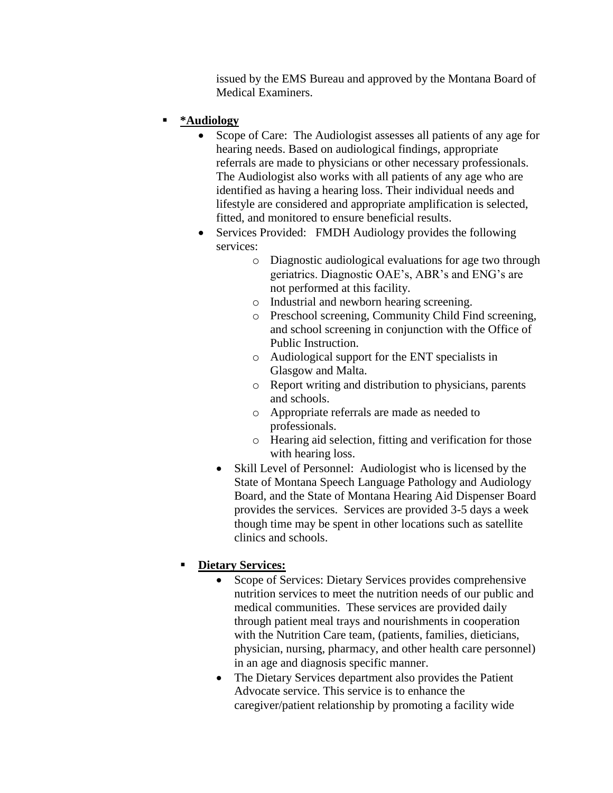issued by the EMS Bureau and approved by the Montana Board of Medical Examiners.

- **\*Audiology** 
	- Scope of Care: The Audiologist assesses all patients of any age for hearing needs. Based on audiological findings, appropriate referrals are made to physicians or other necessary professionals. The Audiologist also works with all patients of any age who are identified as having a hearing loss. Their individual needs and lifestyle are considered and appropriate amplification is selected, fitted, and monitored to ensure beneficial results.
	- Services Provided: FMDH Audiology provides the following services:
		- o Diagnostic audiological evaluations for age two through geriatrics. Diagnostic OAE's, ABR's and ENG's are not performed at this facility.
		- o Industrial and newborn hearing screening.
		- o Preschool screening, Community Child Find screening, and school screening in conjunction with the Office of Public Instruction.
		- o Audiological support for the ENT specialists in Glasgow and Malta.
		- o Report writing and distribution to physicians, parents and schools.
		- o Appropriate referrals are made as needed to professionals.
		- o Hearing aid selection, fitting and verification for those with hearing loss.
		- Skill Level of Personnel: Audiologist who is licensed by the State of Montana Speech Language Pathology and Audiology Board, and the State of Montana Hearing Aid Dispenser Board provides the services. Services are provided 3-5 days a week though time may be spent in other locations such as satellite clinics and schools.

# **Dietary Services:**

- Scope of Services: Dietary Services provides comprehensive nutrition services to meet the nutrition needs of our public and medical communities. These services are provided daily through patient meal trays and nourishments in cooperation with the Nutrition Care team, (patients, families, dieticians, physician, nursing, pharmacy, and other health care personnel) in an age and diagnosis specific manner.
- The Dietary Services department also provides the Patient Advocate service. This service is to enhance the caregiver/patient relationship by promoting a facility wide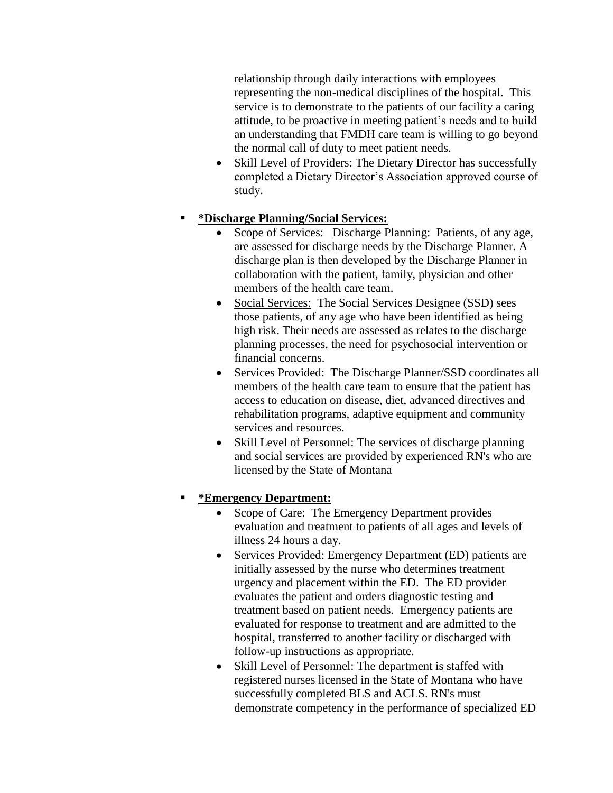relationship through daily interactions with employees representing the non-medical disciplines of the hospital. This service is to demonstrate to the patients of our facility a caring attitude, to be proactive in meeting patient's needs and to build an understanding that FMDH care team is willing to go beyond the normal call of duty to meet patient needs.

• Skill Level of Providers: The Dietary Director has successfully completed a Dietary Director's Association approved course of study.

## **\*Discharge Planning/Social Services:**

- Scope of Services: Discharge Planning: Patients, of any age, are assessed for discharge needs by the Discharge Planner. A discharge plan is then developed by the Discharge Planner in collaboration with the patient, family, physician and other members of the health care team.
- Social Services: The Social Services Designee (SSD) sees those patients, of any age who have been identified as being high risk. Their needs are assessed as relates to the discharge planning processes, the need for psychosocial intervention or financial concerns.
- Services Provided: The Discharge Planner/SSD coordinates all members of the health care team to ensure that the patient has access to education on disease, diet, advanced directives and rehabilitation programs, adaptive equipment and community services and resources.
- Skill Level of Personnel: The services of discharge planning and social services are provided by experienced RN's who are licensed by the State of Montana

## **\*Emergency Department:**

- Scope of Care: The Emergency Department provides evaluation and treatment to patients of all ages and levels of illness 24 hours a day.
- Services Provided: Emergency Department (ED) patients are initially assessed by the nurse who determines treatment urgency and placement within the ED. The ED provider evaluates the patient and orders diagnostic testing and treatment based on patient needs. Emergency patients are evaluated for response to treatment and are admitted to the hospital, transferred to another facility or discharged with follow-up instructions as appropriate.
- Skill Level of Personnel: The department is staffed with registered nurses licensed in the State of Montana who have successfully completed BLS and ACLS. RN's must demonstrate competency in the performance of specialized ED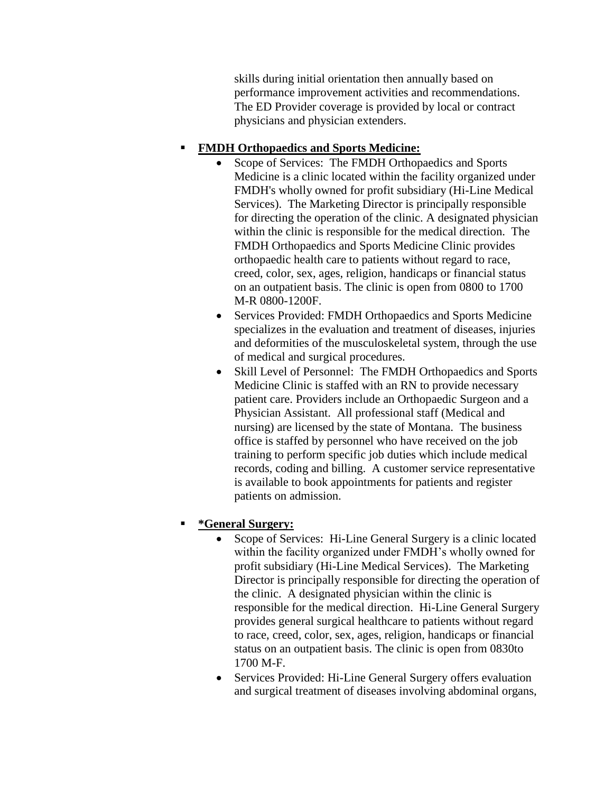skills during initial orientation then annually based on performance improvement activities and recommendations. The ED Provider coverage is provided by local or contract physicians and physician extenders.

## **FMDH Orthopaedics and Sports Medicine:**

- Scope of Services: The FMDH Orthopaedics and Sports Medicine is a clinic located within the facility organized under FMDH's wholly owned for profit subsidiary (Hi-Line Medical Services). The Marketing Director is principally responsible for directing the operation of the clinic. A designated physician within the clinic is responsible for the medical direction. The FMDH Orthopaedics and Sports Medicine Clinic provides orthopaedic health care to patients without regard to race, creed, color, sex, ages, religion, handicaps or financial status on an outpatient basis. The clinic is open from 0800 to 1700 M-R 0800-1200F.
- Services Provided: FMDH Orthopaedics and Sports Medicine specializes in the evaluation and treatment of diseases, injuries and deformities of the musculoskeletal system, through the use of medical and surgical procedures.
- Skill Level of Personnel: The FMDH Orthopaedics and Sports Medicine Clinic is staffed with an RN to provide necessary patient care. Providers include an Orthopaedic Surgeon and a Physician Assistant. All professional staff (Medical and nursing) are licensed by the state of Montana. The business office is staffed by personnel who have received on the job training to perform specific job duties which include medical records, coding and billing. A customer service representative is available to book appointments for patients and register patients on admission.

# **\*General Surgery:**

- Scope of Services: Hi-Line General Surgery is a clinic located within the facility organized under FMDH's wholly owned for profit subsidiary (Hi-Line Medical Services). The Marketing Director is principally responsible for directing the operation of the clinic. A designated physician within the clinic is responsible for the medical direction. Hi-Line General Surgery provides general surgical healthcare to patients without regard to race, creed, color, sex, ages, religion, handicaps or financial status on an outpatient basis. The clinic is open from 0830to 1700 M-F.
- Services Provided: Hi-Line General Surgery offers evaluation and surgical treatment of diseases involving abdominal organs,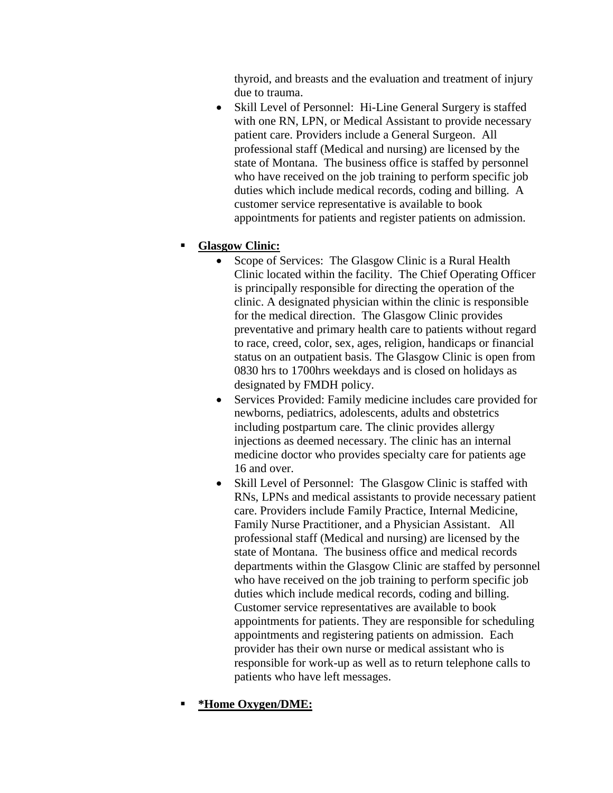thyroid, and breasts and the evaluation and treatment of injury due to trauma.

• Skill Level of Personnel: Hi-Line General Surgery is staffed with one RN, LPN, or Medical Assistant to provide necessary patient care. Providers include a General Surgeon. All professional staff (Medical and nursing) are licensed by the state of Montana. The business office is staffed by personnel who have received on the job training to perform specific job duties which include medical records, coding and billing. A customer service representative is available to book appointments for patients and register patients on admission.

## **Glasgow Clinic:**

- Scope of Services: The Glasgow Clinic is a Rural Health Clinic located within the facility. The Chief Operating Officer is principally responsible for directing the operation of the clinic. A designated physician within the clinic is responsible for the medical direction. The Glasgow Clinic provides preventative and primary health care to patients without regard to race, creed, color, sex, ages, religion, handicaps or financial status on an outpatient basis. The Glasgow Clinic is open from 0830 hrs to 1700hrs weekdays and is closed on holidays as designated by FMDH policy.
- Services Provided: Family medicine includes care provided for newborns, pediatrics, adolescents, adults and obstetrics including postpartum care. The clinic provides allergy injections as deemed necessary. The clinic has an internal medicine doctor who provides specialty care for patients age 16 and over.
- Skill Level of Personnel: The Glasgow Clinic is staffed with RNs, LPNs and medical assistants to provide necessary patient care. Providers include Family Practice, Internal Medicine, Family Nurse Practitioner, and a Physician Assistant. All professional staff (Medical and nursing) are licensed by the state of Montana. The business office and medical records departments within the Glasgow Clinic are staffed by personnel who have received on the job training to perform specific job duties which include medical records, coding and billing. Customer service representatives are available to book appointments for patients. They are responsible for scheduling appointments and registering patients on admission. Each provider has their own nurse or medical assistant who is responsible for work-up as well as to return telephone calls to patients who have left messages.

### **\*Home Oxygen/DME:**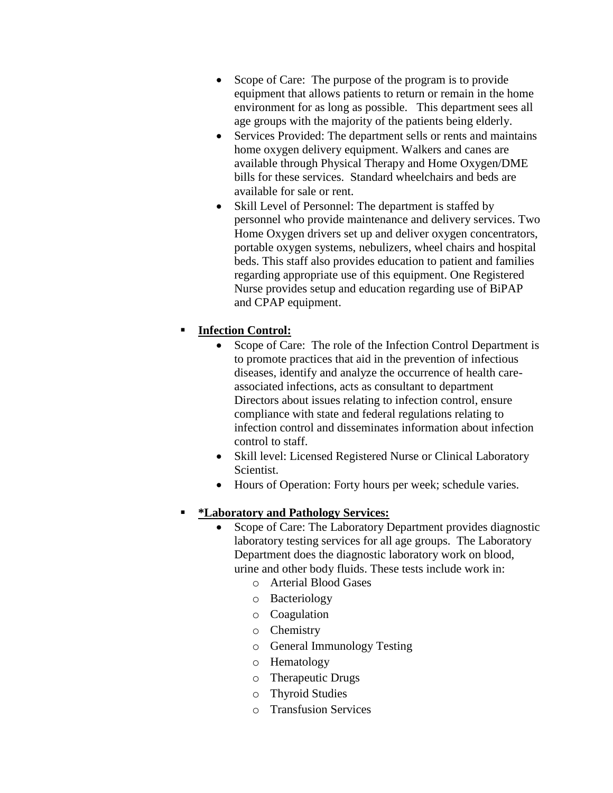- Scope of Care: The purpose of the program is to provide equipment that allows patients to return or remain in the home environment for as long as possible. This department sees all age groups with the majority of the patients being elderly.
- Services Provided: The department sells or rents and maintains home oxygen delivery equipment. Walkers and canes are available through Physical Therapy and Home Oxygen/DME bills for these services. Standard wheelchairs and beds are available for sale or rent.
- Skill Level of Personnel: The department is staffed by personnel who provide maintenance and delivery services. Two Home Oxygen drivers set up and deliver oxygen concentrators, portable oxygen systems, nebulizers, wheel chairs and hospital beds. This staff also provides education to patient and families regarding appropriate use of this equipment. One Registered Nurse provides setup and education regarding use of BiPAP and CPAP equipment.

## **Infection Control:**

- Scope of Care: The role of the Infection Control Department is to promote practices that aid in the prevention of infectious diseases, identify and analyze the occurrence of health careassociated infections, acts as consultant to department Directors about issues relating to infection control, ensure compliance with state and federal regulations relating to infection control and disseminates information about infection control to staff.
- Skill level: Licensed Registered Nurse or Clinical Laboratory Scientist.
- Hours of Operation: Forty hours per week; schedule varies.

### **\*Laboratory and Pathology Services:**

- Scope of Care: The Laboratory Department provides diagnostic laboratory testing services for all age groups. The Laboratory Department does the diagnostic laboratory work on blood, urine and other body fluids. These tests include work in:
	- o Arterial Blood Gases
	- o Bacteriology
	- o Coagulation
	- o Chemistry
	- o General Immunology Testing
	- o Hematology
	- o Therapeutic Drugs
	- o Thyroid Studies
	- o Transfusion Services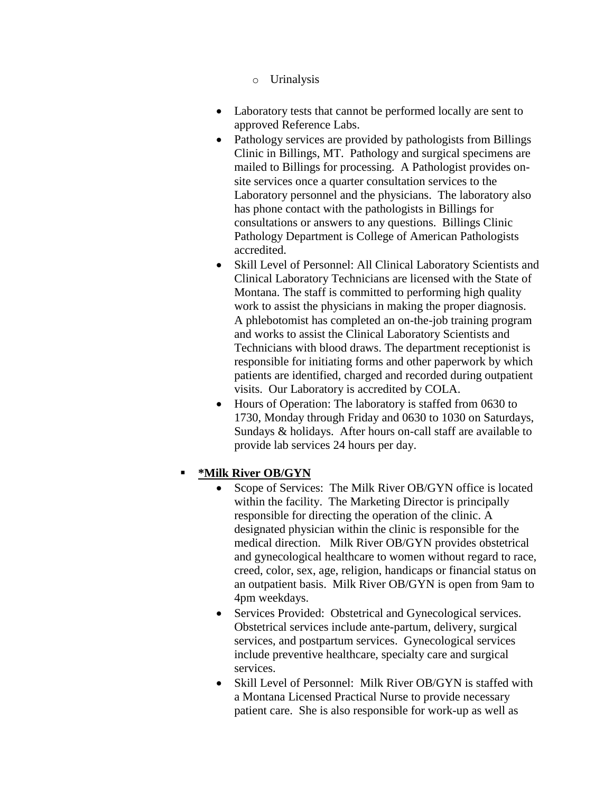- o Urinalysis
- Laboratory tests that cannot be performed locally are sent to approved Reference Labs.
- Pathology services are provided by pathologists from Billings Clinic in Billings, MT. Pathology and surgical specimens are mailed to Billings for processing. A Pathologist provides onsite services once a quarter consultation services to the Laboratory personnel and the physicians. The laboratory also has phone contact with the pathologists in Billings for consultations or answers to any questions. Billings Clinic Pathology Department is College of American Pathologists accredited.
- Skill Level of Personnel: All Clinical Laboratory Scientists and Clinical Laboratory Technicians are licensed with the State of Montana. The staff is committed to performing high quality work to assist the physicians in making the proper diagnosis. A phlebotomist has completed an on-the-job training program and works to assist the Clinical Laboratory Scientists and Technicians with blood draws. The department receptionist is responsible for initiating forms and other paperwork by which patients are identified, charged and recorded during outpatient visits. Our Laboratory is accredited by COLA.
- Hours of Operation: The laboratory is staffed from 0630 to 1730, Monday through Friday and 0630 to 1030 on Saturdays, Sundays & holidays. After hours on-call staff are available to provide lab services 24 hours per day.

## **\*Milk River OB/GYN**

- Scope of Services: The Milk River OB/GYN office is located within the facility. The Marketing Director is principally responsible for directing the operation of the clinic. A designated physician within the clinic is responsible for the medical direction. Milk River OB/GYN provides obstetrical and gynecological healthcare to women without regard to race, creed, color, sex, age, religion, handicaps or financial status on an outpatient basis. Milk River OB/GYN is open from 9am to 4pm weekdays.
- Services Provided: Obstetrical and Gynecological services. Obstetrical services include ante-partum, delivery, surgical services, and postpartum services. Gynecological services include preventive healthcare, specialty care and surgical services.
- Skill Level of Personnel: Milk River OB/GYN is staffed with a Montana Licensed Practical Nurse to provide necessary patient care. She is also responsible for work-up as well as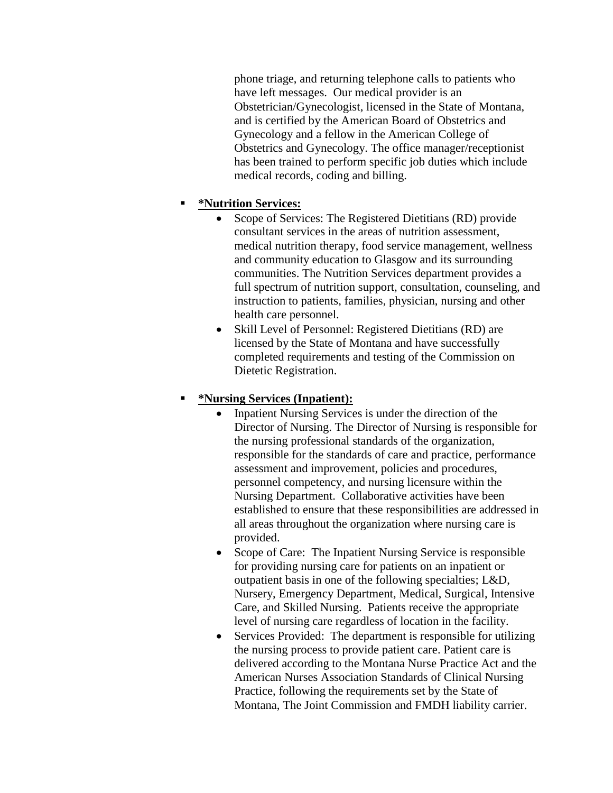phone triage, and returning telephone calls to patients who have left messages. Our medical provider is an Obstetrician/Gynecologist, licensed in the State of Montana, and is certified by the American Board of Obstetrics and Gynecology and a fellow in the American College of Obstetrics and Gynecology. The office manager/receptionist has been trained to perform specific job duties which include medical records, coding and billing.

## **\*Nutrition Services:**

- Scope of Services: The Registered Dietitians (RD) provide consultant services in the areas of nutrition assessment, medical nutrition therapy, food service management, wellness and community education to Glasgow and its surrounding communities. The Nutrition Services department provides a full spectrum of nutrition support, consultation, counseling, and instruction to patients, families, physician, nursing and other health care personnel.
- Skill Level of Personnel: Registered Dietitians (RD) are licensed by the State of Montana and have successfully completed requirements and testing of the Commission on Dietetic Registration.

### **\*Nursing Services (Inpatient):**

- Inpatient Nursing Services is under the direction of the Director of Nursing. The Director of Nursing is responsible for the nursing professional standards of the organization, responsible for the standards of care and practice, performance assessment and improvement, policies and procedures, personnel competency, and nursing licensure within the Nursing Department. Collaborative activities have been established to ensure that these responsibilities are addressed in all areas throughout the organization where nursing care is provided.
- Scope of Care: The Inpatient Nursing Service is responsible for providing nursing care for patients on an inpatient or outpatient basis in one of the following specialties; L&D, Nursery, Emergency Department, Medical, Surgical, Intensive Care, and Skilled Nursing. Patients receive the appropriate level of nursing care regardless of location in the facility.
- Services Provided: The department is responsible for utilizing the nursing process to provide patient care. Patient care is delivered according to the Montana Nurse Practice Act and the American Nurses Association Standards of Clinical Nursing Practice, following the requirements set by the State of Montana, The Joint Commission and FMDH liability carrier.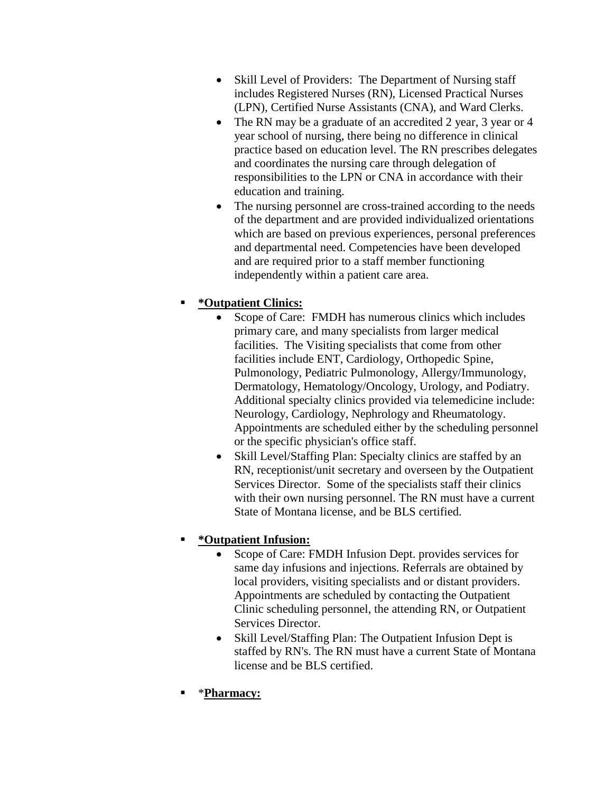- Skill Level of Providers: The Department of Nursing staff includes Registered Nurses (RN), Licensed Practical Nurses (LPN), Certified Nurse Assistants (CNA), and Ward Clerks.
- The RN may be a graduate of an accredited 2 year, 3 year or 4 year school of nursing, there being no difference in clinical practice based on education level. The RN prescribes delegates and coordinates the nursing care through delegation of responsibilities to the LPN or CNA in accordance with their education and training.
- The nursing personnel are cross-trained according to the needs of the department and are provided individualized orientations which are based on previous experiences, personal preferences and departmental need. Competencies have been developed and are required prior to a staff member functioning independently within a patient care area.

## **\*Outpatient Clinics:**

- Scope of Care:FMDH has numerous clinics which includes primary care, and many specialists from larger medical facilities. The Visiting specialists that come from other facilities include ENT, Cardiology, Orthopedic Spine, Pulmonology, Pediatric Pulmonology, Allergy/Immunology, Dermatology, Hematology/Oncology, Urology, and Podiatry. Additional specialty clinics provided via telemedicine include: Neurology, Cardiology, Nephrology and Rheumatology. Appointments are scheduled either by the scheduling personnel or the specific physician's office staff.
- Skill Level/Staffing Plan: Specialty clinics are staffed by an RN, receptionist/unit secretary and overseen by the Outpatient Services Director. Some of the specialists staff their clinics with their own nursing personnel. The RN must have a current State of Montana license, and be BLS certified.

## **\*Outpatient Infusion:**

- Scope of Care: FMDH Infusion Dept. provides services for same day infusions and injections. Referrals are obtained by local providers, visiting specialists and or distant providers. Appointments are scheduled by contacting the Outpatient Clinic scheduling personnel, the attending RN, or Outpatient Services Director.
- Skill Level/Staffing Plan: The Outpatient Infusion Dept is staffed by RN's. The RN must have a current State of Montana license and be BLS certified.
- \***Pharmacy:**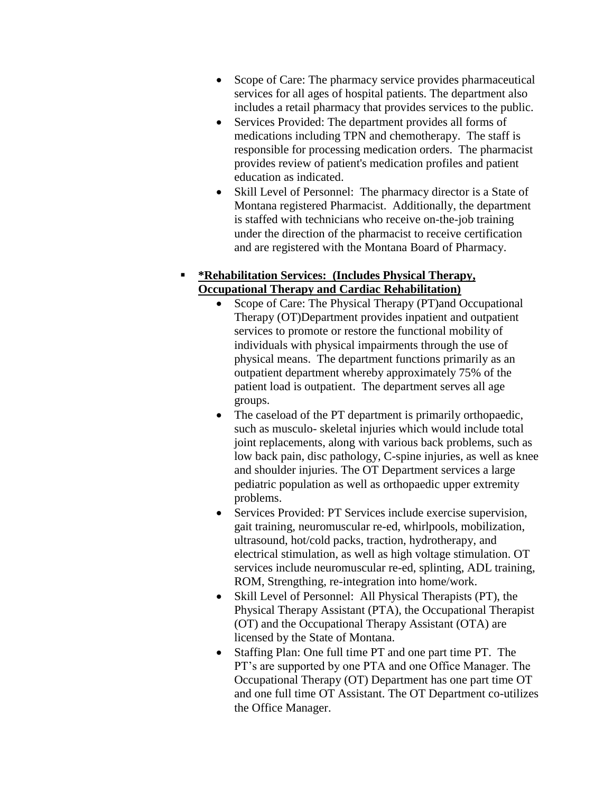- Scope of Care: The pharmacy service provides pharmaceutical services for all ages of hospital patients. The department also includes a retail pharmacy that provides services to the public.
- Services Provided: The department provides all forms of medications including TPN and chemotherapy. The staff is responsible for processing medication orders. The pharmacist provides review of patient's medication profiles and patient education as indicated.
- Skill Level of Personnel: The pharmacy director is a State of Montana registered Pharmacist. Additionally, the department is staffed with technicians who receive on-the-job training under the direction of the pharmacist to receive certification and are registered with the Montana Board of Pharmacy.

### **\*Rehabilitation Services: (Includes Physical Therapy, Occupational Therapy and Cardiac Rehabilitation)**

- Scope of Care: The Physical Therapy (PT)and Occupational Therapy (OT)Department provides inpatient and outpatient services to promote or restore the functional mobility of individuals with physical impairments through the use of physical means. The department functions primarily as an outpatient department whereby approximately 75% of the patient load is outpatient. The department serves all age groups.
- The caseload of the PT department is primarily orthopaedic, such as musculo- skeletal injuries which would include total joint replacements, along with various back problems, such as low back pain, disc pathology, C-spine injuries, as well as knee and shoulder injuries. The OT Department services a large pediatric population as well as orthopaedic upper extremity problems.
- Services Provided: PT Services include exercise supervision, gait training, neuromuscular re-ed, whirlpools, mobilization, ultrasound, hot/cold packs, traction, hydrotherapy, and electrical stimulation, as well as high voltage stimulation. OT services include neuromuscular re-ed, splinting, ADL training, ROM, Strengthing, re-integration into home/work.
- Skill Level of Personnel: All Physical Therapists (PT), the Physical Therapy Assistant (PTA), the Occupational Therapist (OT) and the Occupational Therapy Assistant (OTA) are licensed by the State of Montana.
- Staffing Plan: One full time PT and one part time PT. The PT's are supported by one PTA and one Office Manager. The Occupational Therapy (OT) Department has one part time OT and one full time OT Assistant. The OT Department co-utilizes the Office Manager.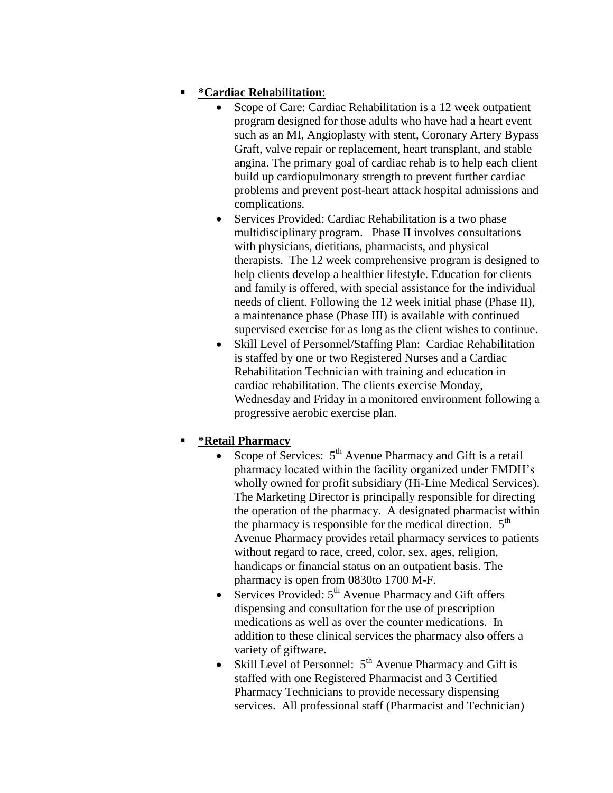## **\*Cardiac Rehabilitation**:

- Scope of Care: Cardiac Rehabilitation is a 12 week outpatient program designed for those adults who have had a heart event such as an MI, Angioplasty with stent, Coronary Artery Bypass Graft, valve repair or replacement, heart transplant, and stable angina. The primary goal of cardiac rehab is to help each client build up cardiopulmonary strength to prevent further cardiac problems and prevent post-heart attack hospital admissions and complications.
- Services Provided: Cardiac Rehabilitation is a two phase multidisciplinary program. Phase II involves consultations with physicians, dietitians, pharmacists, and physical therapists. The 12 week comprehensive program is designed to help clients develop a healthier lifestyle. Education for clients and family is offered, with special assistance for the individual needs of client. Following the 12 week initial phase (Phase II), a maintenance phase (Phase III) is available with continued supervised exercise for as long as the client wishes to continue.
- Skill Level of Personnel/Staffing Plan: Cardiac Rehabilitation is staffed by one or two Registered Nurses and a Cardiac Rehabilitation Technician with training and education in cardiac rehabilitation. The clients exercise Monday, Wednesday and Friday in a monitored environment following a progressive aerobic exercise plan.

## **\*Retail Pharmacy**

- Scope of Services:  $5<sup>th</sup>$  Avenue Pharmacy and Gift is a retail pharmacy located within the facility organized under FMDH's wholly owned for profit subsidiary (Hi-Line Medical Services). The Marketing Director is principally responsible for directing the operation of the pharmacy. A designated pharmacist within the pharmacy is responsible for the medical direction.  $5<sup>th</sup>$ Avenue Pharmacy provides retail pharmacy services to patients without regard to race, creed, color, sex, ages, religion, handicaps or financial status on an outpatient basis. The pharmacy is open from 0830to 1700 M-F.
- $\bullet$  Services Provided:  $5<sup>th</sup>$  Avenue Pharmacy and Gift offers dispensing and consultation for the use of prescription medications as well as over the counter medications. In addition to these clinical services the pharmacy also offers a variety of giftware.
- Skill Level of Personnel:  $5<sup>th</sup>$  Avenue Pharmacy and Gift is staffed with one Registered Pharmacist and 3 Certified Pharmacy Technicians to provide necessary dispensing services. All professional staff (Pharmacist and Technician)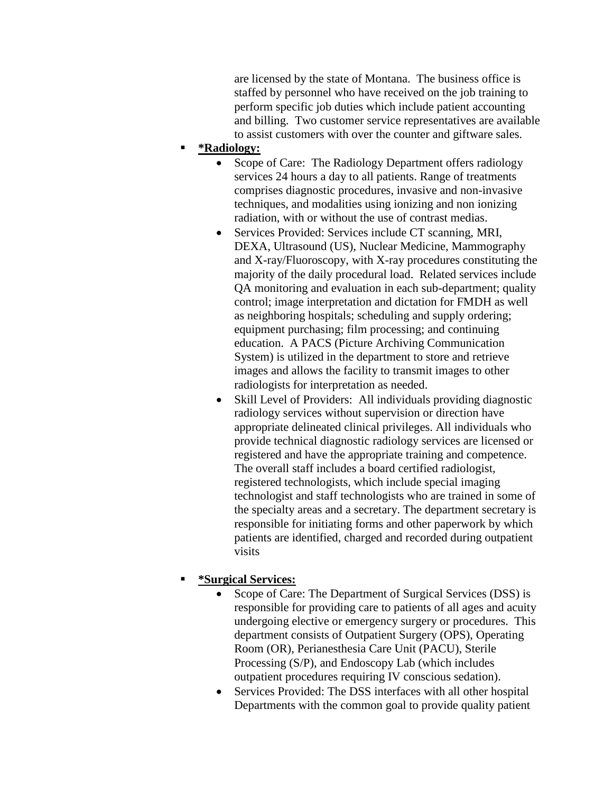are licensed by the state of Montana. The business office is staffed by personnel who have received on the job training to perform specific job duties which include patient accounting and billing. Two customer service representatives are available to assist customers with over the counter and giftware sales.

- **\*Radiology:**
	- Scope of Care: The Radiology Department offers radiology services 24 hours a day to all patients. Range of treatments comprises diagnostic procedures, invasive and non-invasive techniques, and modalities using ionizing and non ionizing radiation, with or without the use of contrast medias.
	- Services Provided: Services include CT scanning, MRI, DEXA, Ultrasound (US), Nuclear Medicine, Mammography and X-ray/Fluoroscopy, with X-ray procedures constituting the majority of the daily procedural load. Related services include QA monitoring and evaluation in each sub-department; quality control; image interpretation and dictation for FMDH as well as neighboring hospitals; scheduling and supply ordering; equipment purchasing; film processing; and continuing education. A PACS (Picture Archiving Communication System) is utilized in the department to store and retrieve images and allows the facility to transmit images to other radiologists for interpretation as needed.
	- Skill Level of Providers: All individuals providing diagnostic radiology services without supervision or direction have appropriate delineated clinical privileges. All individuals who provide technical diagnostic radiology services are licensed or registered and have the appropriate training and competence. The overall staff includes a board certified radiologist, registered technologists, which include special imaging technologist and staff technologists who are trained in some of the specialty areas and a secretary. The department secretary is responsible for initiating forms and other paperwork by which patients are identified, charged and recorded during outpatient visits

#### **\*Surgical Services:**

- Scope of Care: The Department of Surgical Services (DSS) is responsible for providing care to patients of all ages and acuity undergoing elective or emergency surgery or procedures. This department consists of Outpatient Surgery (OPS), Operating Room (OR), Perianesthesia Care Unit (PACU), Sterile Processing (S/P), and Endoscopy Lab (which includes outpatient procedures requiring IV conscious sedation).
- Services Provided: The DSS interfaces with all other hospital Departments with the common goal to provide quality patient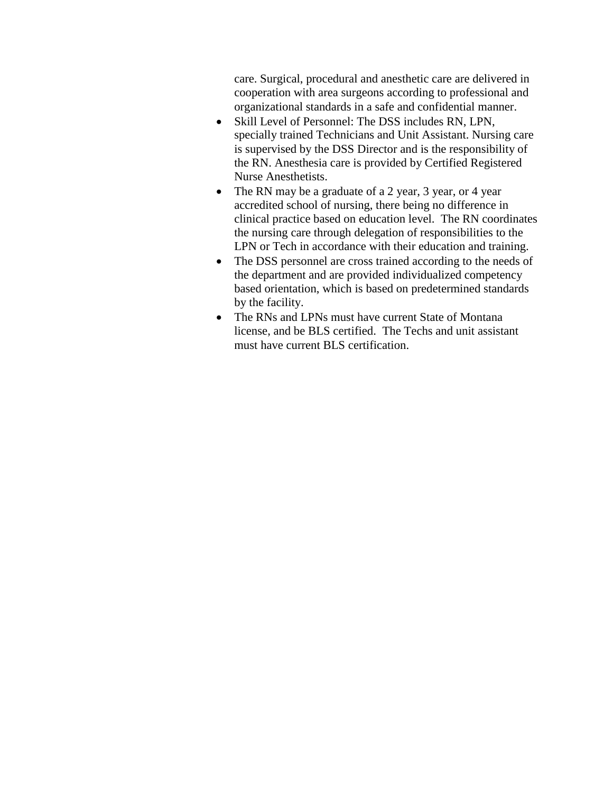care. Surgical, procedural and anesthetic care are delivered in cooperation with area surgeons according to professional and organizational standards in a safe and confidential manner.

- Skill Level of Personnel: The DSS includes RN, LPN, specially trained Technicians and Unit Assistant. Nursing care is supervised by the DSS Director and is the responsibility of the RN. Anesthesia care is provided by Certified Registered Nurse Anesthetists.
- The RN may be a graduate of a 2 year, 3 year, or 4 year accredited school of nursing, there being no difference in clinical practice based on education level. The RN coordinates the nursing care through delegation of responsibilities to the LPN or Tech in accordance with their education and training.
- The DSS personnel are cross trained according to the needs of the department and are provided individualized competency based orientation, which is based on predetermined standards by the facility.
- The RNs and LPNs must have current State of Montana license, and be BLS certified. The Techs and unit assistant must have current BLS certification.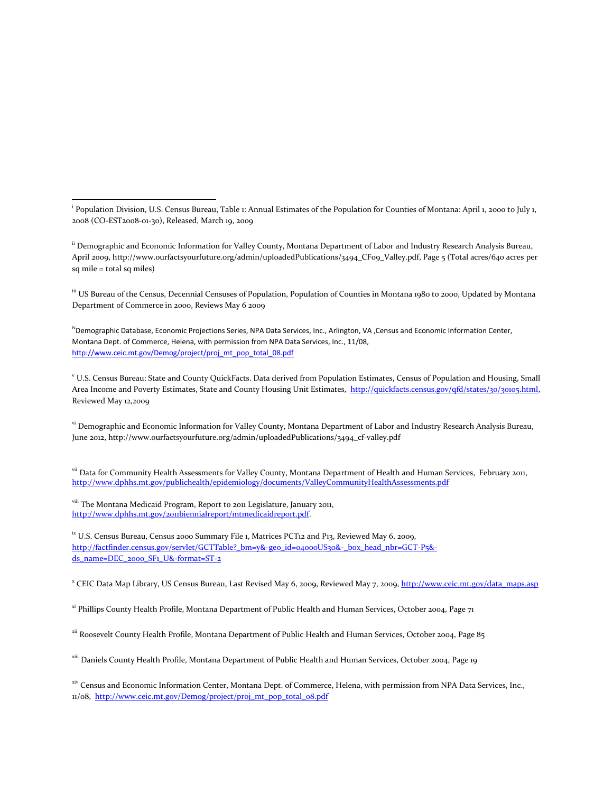<sup>ii</sup> Demographic and Economic Information for Valley County, Montana Department of Labor and Industry Research Analysis Bureau, April 2009, http://www.ourfactsyourfuture.org/admin/uploadedPublications/3494\_CF09\_Valley.pdf, Page 5 (Total acres/640 acres per sq mile = total sq miles)

iii US Bureau of the Census, Decennial Censuses of Population, Population of Counties in Montana 1980 to 2000, Updated by Montana Department of Commerce in 2000, Reviews May 6 2009

<sup>iv</sup>Demographic Database, Economic Projections Series, NPA Data Services, Inc., Arlington, VA ,Census and Economic Information Center, Montana Dept. of Commerce, Helena, with permission from NPA Data Services, Inc., 11/08, [http://www.ceic.mt.gov/Demog/project/proj\\_mt\\_pop\\_total\\_08.pdf](http://www.ceic.mt.gov/Demog/project/proj_mt_pop_total_08.pdf)

<sup>v</sup> U.S. Census Bureau: State and County QuickFacts. Data derived from Population Estimates, Census of Population and Housing, Small Area Income and Poverty Estimates, State and County Housing Unit Estimates, http://quickfacts.census.gov/qfd/states/30/30105.html, Reviewed May 12,2009

vi Demographic and Economic Information for Valley County, Montana Department of Labor and Industry Research Analysis Bureau, June 2012, http://www.ourfactsyourfuture.org/admin/uploadedPublications/3494\_cf-valley.pdf

vii Data for Community Health Assessments for Valley County, Montana Department of Health and Human Services, February 2011, <http://www.dphhs.mt.gov/publichealth/epidemiology/documents/ValleyCommunityHealthAssessments.pdf>

viii The Montana Medicaid Program, Report to 2011 Legislature, January 2011, [http://www.dphhs.mt.gov/2011biennialreport/mtmedicaidreport.pdf.](http://www.dphhs.mt.gov/2011biennialreport/mtmedicaidreport.pdf)

l

<sup>ix</sup> U.S. Census Bureau, Census 2000 Summary File 1, Matrices PCT12 and P13, Reviewed May 6, 2009, http://factfinder.census.gov/servlet/GCTTable? bm=y&-geo\_id=04000US30&-\_box\_head\_nbr=GCT-P5&[ds\\_name=DEC\\_2000\\_SF1\\_U&-format=ST-2](http://factfinder.census.gov/servlet/GCTTable?_bm=y&-geo_id=04000US30&-_box_head_nbr=GCT-P5&-ds_name=DEC_2000_SF1_U&-format=ST-2)

<sup>x</sup> CEIC Data Map Library, US Census Bureau, Last Revised May 6, 2009, Reviewed May 7, 2009, <u>http://www.ceic.mt.gov/data\_maps.asp</u>

xi Phillips County Health Profile, Montana Department of Public Health and Human Services, October 2004, Page 71

xii Roosevelt County Health Profile, Montana Department of Public Health and Human Services, October 2004, Page 85

xiii Daniels County Health Profile, Montana Department of Public Health and Human Services, October 2004, Page 19

xiv Census and Economic Information Center, Montana Dept. of Commerce, Helena, with permission from NPA Data Services, Inc., 11/08, [http://www.ceic.mt.gov/Demog/project/proj\\_mt\\_pop\\_total\\_08.pdf](http://www.ceic.mt.gov/Demog/project/proj_mt_pop_total_08.pdf)

i Population Division, U.S. Census Bureau, Table 1: Annual Estimates of the Population for Counties of Montana: April 1, 2000 to July 1, 2008 (CO-EST2008-01-30), Released, March 19, 2009